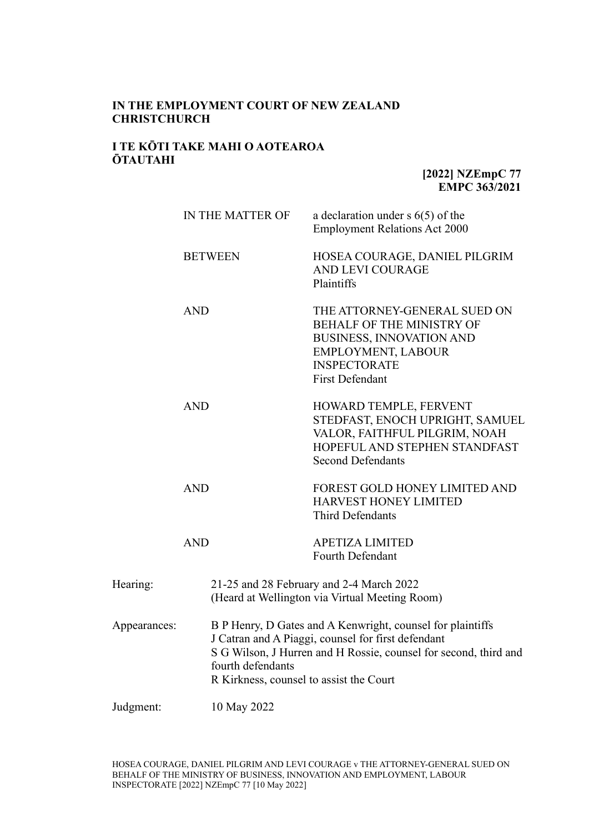# **IN THE EMPLOYMENT COURT OF NEW ZEALAND CHRISTCHURCH**

# **I TE KŌTI TAKE MAHI O AOTEAROA ŌTAUTAHI**

**[2022] NZEmpC 77 EMPC 363/2021**

|              |                | IN THE MATTER OF                                                                                                                                                                                                                                     | a declaration under $s$ 6(5) of the<br><b>Employment Relations Act 2000</b>                                                                                                       |  |
|--------------|----------------|------------------------------------------------------------------------------------------------------------------------------------------------------------------------------------------------------------------------------------------------------|-----------------------------------------------------------------------------------------------------------------------------------------------------------------------------------|--|
|              | <b>BETWEEN</b> |                                                                                                                                                                                                                                                      | HOSEA COURAGE, DANIEL PILGRIM<br>AND LEVI COURAGE<br>Plaintiffs                                                                                                                   |  |
|              | <b>AND</b>     |                                                                                                                                                                                                                                                      | THE ATTORNEY-GENERAL SUED ON<br><b>BEHALF OF THE MINISTRY OF</b><br><b>BUSINESS, INNOVATION AND</b><br><b>EMPLOYMENT, LABOUR</b><br><b>INSPECTORATE</b><br><b>First Defendant</b> |  |
|              | <b>AND</b>     |                                                                                                                                                                                                                                                      | HOWARD TEMPLE, FERVENT<br>STEDFAST, ENOCH UPRIGHT, SAMUEL<br>VALOR, FAITHFUL PILGRIM, NOAH<br>HOPEFUL AND STEPHEN STANDFAST<br><b>Second Defendants</b>                           |  |
|              | <b>AND</b>     |                                                                                                                                                                                                                                                      | FOREST GOLD HONEY LIMITED AND<br>HARVEST HONEY LIMITED<br><b>Third Defendants</b>                                                                                                 |  |
|              | <b>AND</b>     |                                                                                                                                                                                                                                                      | <b>APETIZA LIMITED</b><br>Fourth Defendant                                                                                                                                        |  |
| Hearing:     |                | 21-25 and 28 February and 2-4 March 2022<br>(Heard at Wellington via Virtual Meeting Room)                                                                                                                                                           |                                                                                                                                                                                   |  |
| Appearances: |                | B P Henry, D Gates and A Kenwright, counsel for plaintiffs<br>J Catran and A Piaggi, counsel for first defendant<br>S G Wilson, J Hurren and H Rossie, counsel for second, third and<br>fourth defendants<br>R Kirkness, counsel to assist the Court |                                                                                                                                                                                   |  |
| Judgment:    |                | 10 May 2022                                                                                                                                                                                                                                          |                                                                                                                                                                                   |  |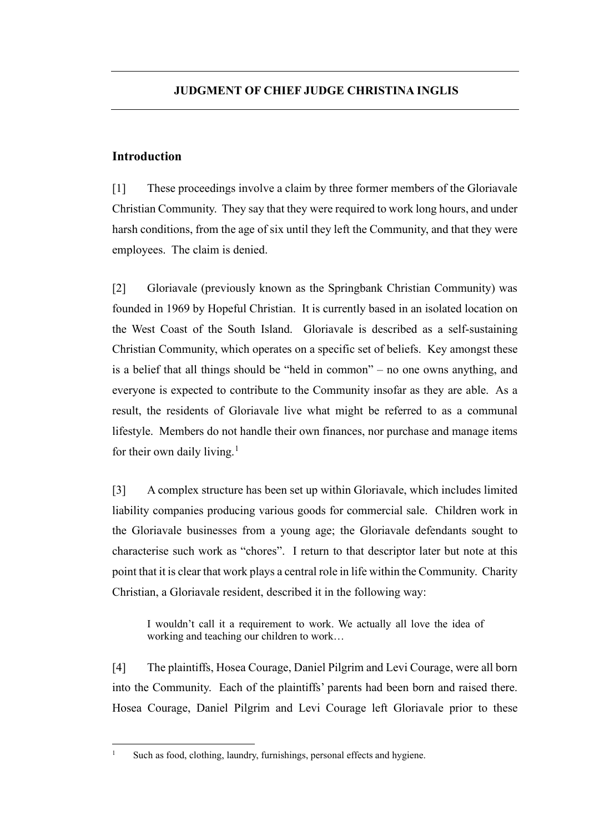# **Introduction**

[1] These proceedings involve a claim by three former members of the Gloriavale Christian Community. They say that they were required to work long hours, and under harsh conditions, from the age of six until they left the Community, and that they were employees. The claim is denied.

[2] Gloriavale (previously known as the Springbank Christian Community) was founded in 1969 by Hopeful Christian. It is currently based in an isolated location on the West Coast of the South Island.Gloriavale is described as a self-sustaining Christian Community, which operates on a specific set of beliefs. Key amongst these is a belief that all things should be "held in common" – no one owns anything, and everyone is expected to contribute to the Community insofar as they are able. As a result, the residents of Gloriavale live what might be referred to as a communal lifestyle. Members do not handle their own finances, nor purchase and manage items for their own daily living. $<sup>1</sup>$  $<sup>1</sup>$  $<sup>1</sup>$ </sup>

[3] A complex structure has been set up within Gloriavale, which includes limited liability companies producing various goods for commercial sale. Children work in the Gloriavale businesses from a young age; the Gloriavale defendants sought to characterise such work as "chores". I return to that descriptor later but note at this point that it is clear that work plays a central role in life within the Community. Charity Christian, a Gloriavale resident, described it in the following way:

I wouldn't call it a requirement to work. We actually all love the idea of working and teaching our children to work…

[4] The plaintiffs, Hosea Courage, Daniel Pilgrim and Levi Courage, were all born into the Community. Each of the plaintiffs' parents had been born and raised there. Hosea Courage, Daniel Pilgrim and Levi Courage left Gloriavale prior to these

<span id="page-1-0"></span><sup>&</sup>lt;sup>1</sup> Such as food, clothing, laundry, furnishings, personal effects and hygiene.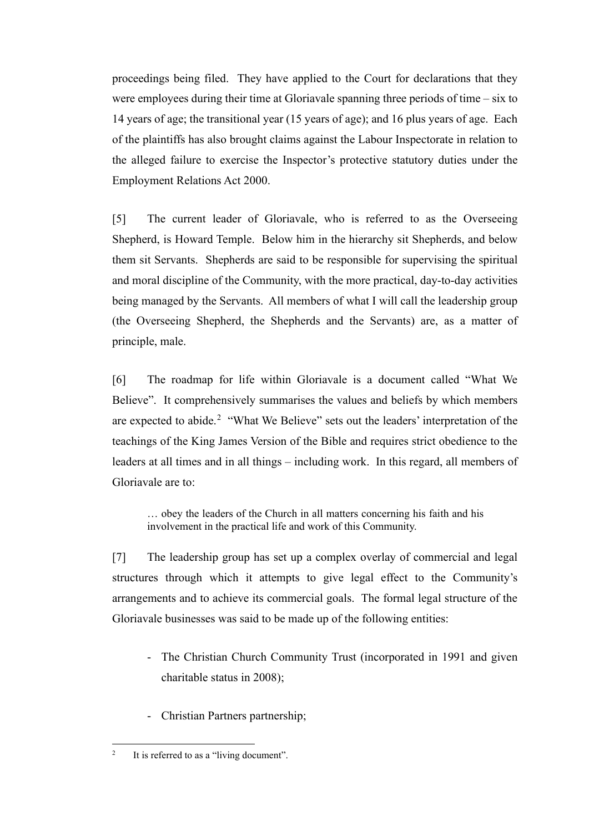proceedings being filed. They have applied to the Court for declarations that they were employees during their time at Gloriavale spanning three periods of time – six to 14 years of age; the transitional year (15 years of age); and 16 plus years of age. Each of the plaintiffs has also brought claims against the Labour Inspectorate in relation to the alleged failure to exercise the Inspector's protective statutory duties under the Employment Relations Act 2000.

[5] The current leader of Gloriavale, who is referred to as the Overseeing Shepherd, is Howard Temple. Below him in the hierarchy sit Shepherds, and below them sit Servants. Shepherds are said to be responsible for supervising the spiritual and moral discipline of the Community, with the more practical, day-to-day activities being managed by the Servants. All members of what I will call the leadership group (the Overseeing Shepherd, the Shepherds and the Servants) are, as a matter of principle, male.

[6] The roadmap for life within Gloriavale is a document called "What We Believe". It comprehensively summarises the values and beliefs by which members are expected to abide.<sup>[2](#page-2-0)</sup> "What We Believe" sets out the leaders' interpretation of the teachings of the King James Version of the Bible and requires strict obedience to the leaders at all times and in all things – including work. In this regard, all members of Gloriavale are to:

… obey the leaders of the Church in all matters concerning his faith and his involvement in the practical life and work of this Community.

[7] The leadership group has set up a complex overlay of commercial and legal structures through which it attempts to give legal effect to the Community's arrangements and to achieve its commercial goals. The formal legal structure of the Gloriavale businesses was said to be made up of the following entities:

- The Christian Church Community Trust (incorporated in 1991 and given charitable status in 2008);
- Christian Partners partnership;

<span id="page-2-0"></span><sup>&</sup>lt;sup>2</sup> It is referred to as a "living document".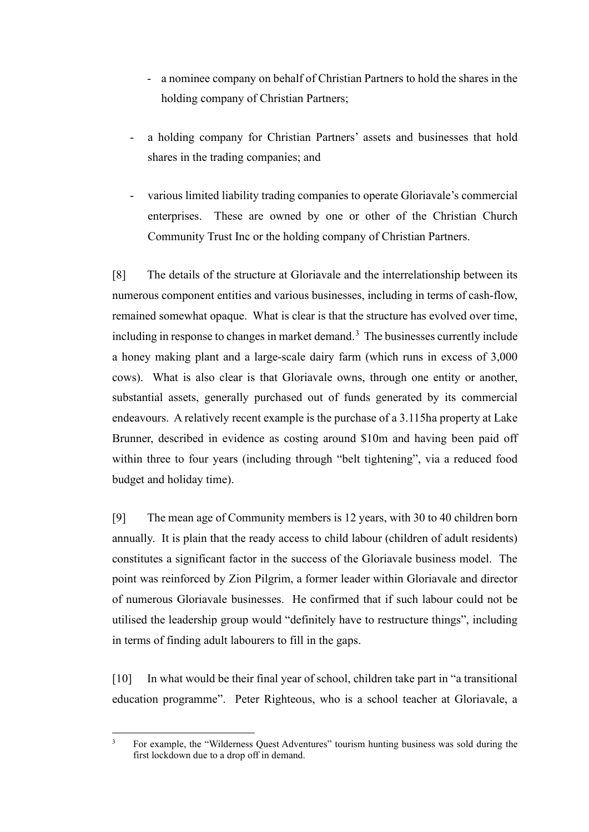- a nominee company on behalf of Christian Partners to hold the shares in the holding company of Christian Partners;
- a holding company for Christian Partners' assets and businesses that hold shares in the trading companies; and
- various limited liability trading companies to operate Gloriavale's commercial enterprises. These are owned by one or other of the Christian Church Community Trust Inc or the holding company of Christian Partners.

[8] The details of the structure at Gloriavale and the interrelationship between its numerous component entities and various businesses, including in terms of cash-flow, remained somewhat opaque. What is clear is that the structure has evolved over time, including in response to changes in market demand.<sup>[3](#page-3-0)</sup> The businesses currently include a honey making plant and a large-scale dairy farm (which runs in excess of 3,000 cows). What is also clear is that Gloriavale owns, through one entity or another, substantial assets, generally purchased out of funds generated by its commercial endeavours. A relatively recent example is the purchase of a 3.115ha property at Lake Brunner, described in evidence as costing around \$10m and having been paid off within three to four years (including through "belt tightening", via a reduced food budget and holiday time).

[9] The mean age of Community members is 12 years, with 30 to 40 children born annually.It is plain that the ready access to child labour (children of adult residents) constitutes a significant factor in the success of the Gloriavale business model. The point was reinforced by Zion Pilgrim, a former leader within Gloriavale and director of numerous Gloriavale businesses. He confirmed that if such labour could not be utilised the leadership group would "definitely have to restructure things", including in terms of finding adult labourers to fill in the gaps.

[10] In what would be their final year of school, children take part in "a transitional education programme". Peter Righteous, who is a school teacher at Gloriavale, a

<span id="page-3-0"></span><sup>&</sup>lt;sup>3</sup> For example, the "Wilderness Quest Adventures" tourism hunting business was sold during the first lockdown due to a drop off in demand.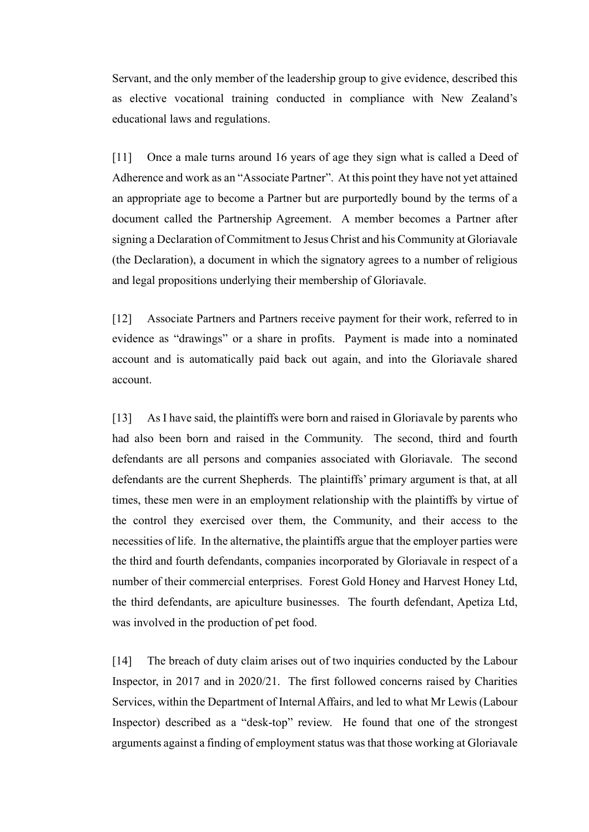Servant, and the only member of the leadership group to give evidence, described this as elective vocational training conducted in compliance with New Zealand's educational laws and regulations.

[11] Once a male turns around 16 years of age they sign what is called a Deed of Adherence and work as an "Associate Partner". At this point they have not yet attained an appropriate age to become a Partner but are purportedly bound by the terms of a document called the Partnership Agreement. A member becomes a Partner after signing a Declaration of Commitment to Jesus Christ and his Community at Gloriavale (the Declaration), a document in which the signatory agrees to a number of religious and legal propositions underlying their membership of Gloriavale.

[12] Associate Partners and Partners receive payment for their work, referred to in evidence as "drawings" or a share in profits. Payment is made into a nominated account and is automatically paid back out again, and into the Gloriavale shared account.

[13] As I have said, the plaintiffs were born and raised in Gloriavale by parents who had also been born and raised in the Community. The second, third and fourth defendants are all persons and companies associated with Gloriavale. The second defendants are the current Shepherds. The plaintiffs' primary argument is that, at all times, these men were in an employment relationship with the plaintiffs by virtue of the control they exercised over them, the Community, and their access to the necessities of life. In the alternative, the plaintiffs argue that the employer parties were the third and fourth defendants, companies incorporated by Gloriavale in respect of a number of their commercial enterprises. Forest Gold Honey and Harvest Honey Ltd, the third defendants, are apiculture businesses. The fourth defendant, Apetiza Ltd, was involved in the production of pet food.

[14] The breach of duty claim arises out of two inquiries conducted by the Labour Inspector, in 2017 and in 2020/21. The first followed concerns raised by Charities Services, within the Department of Internal Affairs, and led to what Mr Lewis (Labour Inspector) described as a "desk-top" review. He found that one of the strongest arguments against a finding of employment status was that those working at Gloriavale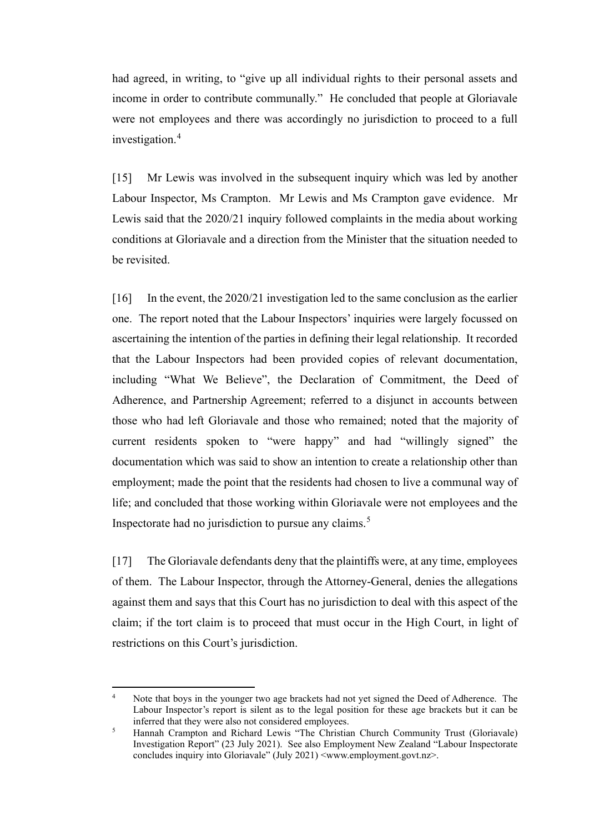had agreed, in writing, to "give up all individual rights to their personal assets and income in order to contribute communally." He concluded that people at Gloriavale were not employees and there was accordingly no jurisdiction to proceed to a full investigation.[4](#page-5-0)

[15] Mr Lewis was involved in the subsequent inquiry which was led by another Labour Inspector, Ms Crampton. Mr Lewis and Ms Crampton gave evidence. Mr Lewis said that the 2020/21 inquiry followed complaints in the media about working conditions at Gloriavale and a direction from the Minister that the situation needed to be revisited.

[16] In the event, the 2020/21 investigation led to the same conclusion as the earlier one. The report noted that the Labour Inspectors' inquiries were largely focussed on ascertaining the intention of the parties in defining their legal relationship. It recorded that the Labour Inspectors had been provided copies of relevant documentation, including "What We Believe", the Declaration of Commitment, the Deed of Adherence, and Partnership Agreement; referred to a disjunct in accounts between those who had left Gloriavale and those who remained; noted that the majority of current residents spoken to "were happy" and had "willingly signed" the documentation which was said to show an intention to create a relationship other than employment; made the point that the residents had chosen to live a communal way of life; and concluded that those working within Gloriavale were not employees and the Inspectorate had no jurisdiction to pursue any claims.<sup>[5](#page-5-1)</sup>

[17] The Gloriavale defendants deny that the plaintiffs were, at any time, employees of them. The Labour Inspector, through the Attorney-General, denies the allegations against them and says that this Court has no jurisdiction to deal with this aspect of the claim; if the tort claim is to proceed that must occur in the High Court, in light of restrictions on this Court's jurisdiction.

<span id="page-5-0"></span>Note that boys in the younger two age brackets had not yet signed the Deed of Adherence. The Labour Inspector's report is silent as to the legal position for these age brackets but it can be inferred that they were also not considered employees.

<span id="page-5-1"></span><sup>&</sup>lt;sup>5</sup> Hannah Crampton and Richard Lewis "The Christian Church Community Trust (Gloriavale) Investigation Report" (23 July 2021). See also Employment New Zealand "Labour Inspectorate concludes inquiry into Gloriavale" (July 2021) <www.employment.govt.nz>.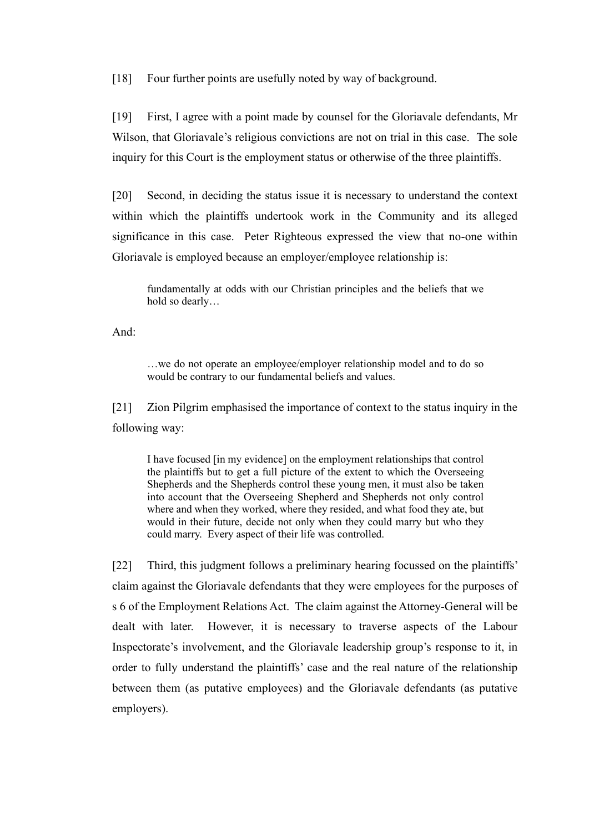[18] Four further points are usefully noted by way of background.

[19] First, I agree with a point made by counsel for the Gloriavale defendants, Mr Wilson, that Gloriavale's religious convictions are not on trial in this case. The sole inquiry for this Court is the employment status or otherwise of the three plaintiffs.

[20] Second, in deciding the status issue it is necessary to understand the context within which the plaintiffs undertook work in the Community and its alleged significance in this case. Peter Righteous expressed the view that no-one within Gloriavale is employed because an employer/employee relationship is:

fundamentally at odds with our Christian principles and the beliefs that we hold so dearly…

And:

…we do not operate an employee/employer relationship model and to do so would be contrary to our fundamental beliefs and values.

[21] Zion Pilgrim emphasised the importance of context to the status inquiry in the following way:

I have focused [in my evidence] on the employment relationships that control the plaintiffs but to get a full picture of the extent to which the Overseeing Shepherds and the Shepherds control these young men, it must also be taken into account that the Overseeing Shepherd and Shepherds not only control where and when they worked, where they resided, and what food they ate, but would in their future, decide not only when they could marry but who they could marry. Every aspect of their life was controlled.

[22] Third, this judgment follows a preliminary hearing focussed on the plaintiffs' claim against the Gloriavale defendants that they were employees for the purposes of s 6 of the Employment Relations Act. The claim against the Attorney-General will be dealt with later. However, it is necessary to traverse aspects of the Labour Inspectorate's involvement, and the Gloriavale leadership group's response to it, in order to fully understand the plaintiffs' case and the real nature of the relationship between them (as putative employees) and the Gloriavale defendants (as putative employers).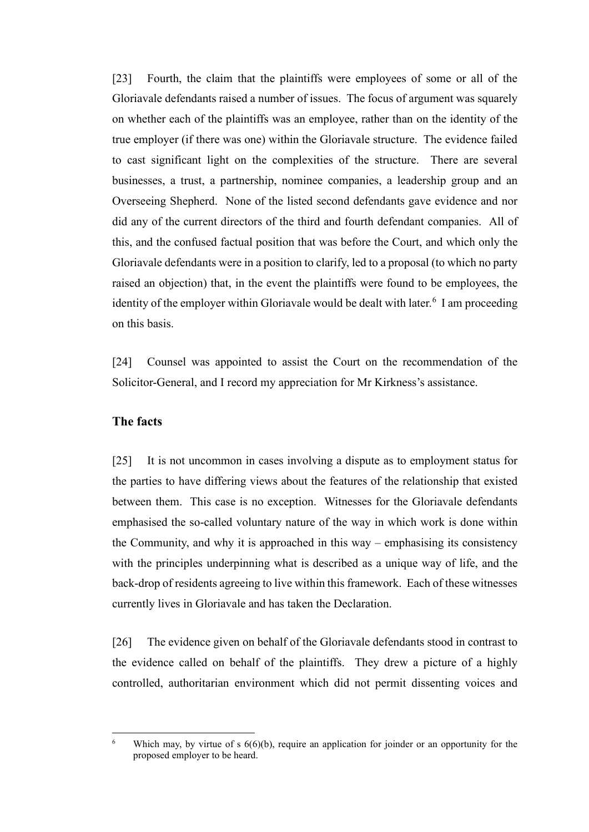[23] Fourth, the claim that the plaintiffs were employees of some or all of the Gloriavale defendants raised a number of issues. The focus of argument was squarely on whether each of the plaintiffs was an employee, rather than on the identity of the true employer (if there was one) within the Gloriavale structure. The evidence failed to cast significant light on the complexities of the structure. There are several businesses, a trust, a partnership, nominee companies, a leadership group and an Overseeing Shepherd. None of the listed second defendants gave evidence and nor did any of the current directors of the third and fourth defendant companies.All of this, and the confused factual position that was before the Court, and which only the Gloriavale defendants were in a position to clarify, led to a proposal (to which no party raised an objection) that, in the event the plaintiffs were found to be employees, the identity of the employer within Gloriavale would be dealt with later.<sup>[6](#page-7-0)</sup> I am proceeding on this basis.

[24] Counsel was appointed to assist the Court on the recommendation of the Solicitor-General, and I record my appreciation for Mr Kirkness's assistance.

## **The facts**

[25] It is not uncommon in cases involving a dispute as to employment status for the parties to have differing views about the features of the relationship that existed between them. This case is no exception. Witnesses for the Gloriavale defendants emphasised the so-called voluntary nature of the way in which work is done within the Community, and why it is approached in this way – emphasising its consistency with the principles underpinning what is described as a unique way of life, and the back-drop of residents agreeing to live within this framework. Each of these witnesses currently lives in Gloriavale and has taken the Declaration.

[26] The evidence given on behalf of the Gloriavale defendants stood in contrast to the evidence called on behalf of the plaintiffs. They drew a picture of a highly controlled, authoritarian environment which did not permit dissenting voices and

<span id="page-7-0"></span><sup>&</sup>lt;sup>6</sup> Which may, by virtue of s  $6(6)(b)$ , require an application for joinder or an opportunity for the proposed employer to be heard.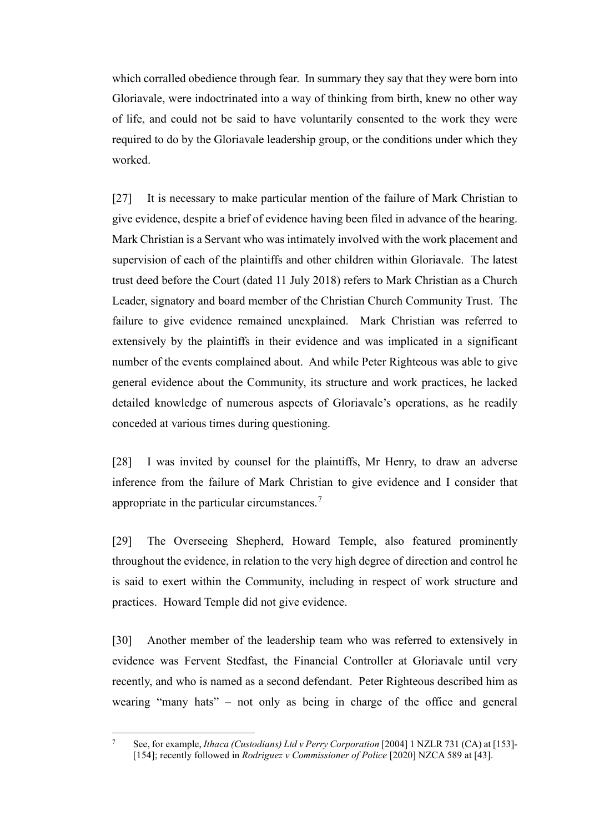which corralled obedience through fear. In summary they say that they were born into Gloriavale, were indoctrinated into a way of thinking from birth, knew no other way of life, and could not be said to have voluntarily consented to the work they were required to do by the Gloriavale leadership group, or the conditions under which they worked.

[27] It is necessary to make particular mention of the failure of Mark Christian to give evidence, despite a brief of evidence having been filed in advance of the hearing. Mark Christian is a Servant who was intimately involved with the work placement and supervision of each of the plaintiffs and other children within Gloriavale. The latest trust deed before the Court (dated 11 July 2018) refers to Mark Christian as a Church Leader, signatory and board member of the Christian Church Community Trust. The failure to give evidence remained unexplained. Mark Christian was referred to extensively by the plaintiffs in their evidence and was implicated in a significant number of the events complained about. And while Peter Righteous was able to give general evidence about the Community, its structure and work practices, he lacked detailed knowledge of numerous aspects of Gloriavale's operations, as he readily conceded at various times during questioning.

[28] I was invited by counsel for the plaintiffs, Mr Henry, to draw an adverse inference from the failure of Mark Christian to give evidence and I consider that appropriate in the particular circumstances. $7$ 

[29] The Overseeing Shepherd, Howard Temple, also featured prominently throughout the evidence, in relation to the very high degree of direction and control he is said to exert within the Community, including in respect of work structure and practices. Howard Temple did not give evidence.

[30] Another member of the leadership team who was referred to extensively in evidence was Fervent Stedfast, the Financial Controller at Gloriavale until very recently, and who is named as a second defendant. Peter Righteous described him as wearing "many hats" – not only as being in charge of the office and general

<span id="page-8-0"></span><sup>7</sup> See, for example, *Ithaca (Custodians) Ltd v Perry Corporation* [2004] 1 NZLR 731 (CA) at [153]- [154]; recently followed in *Rodriguez v Commissioner of Police* [2020] NZCA 589 at [43].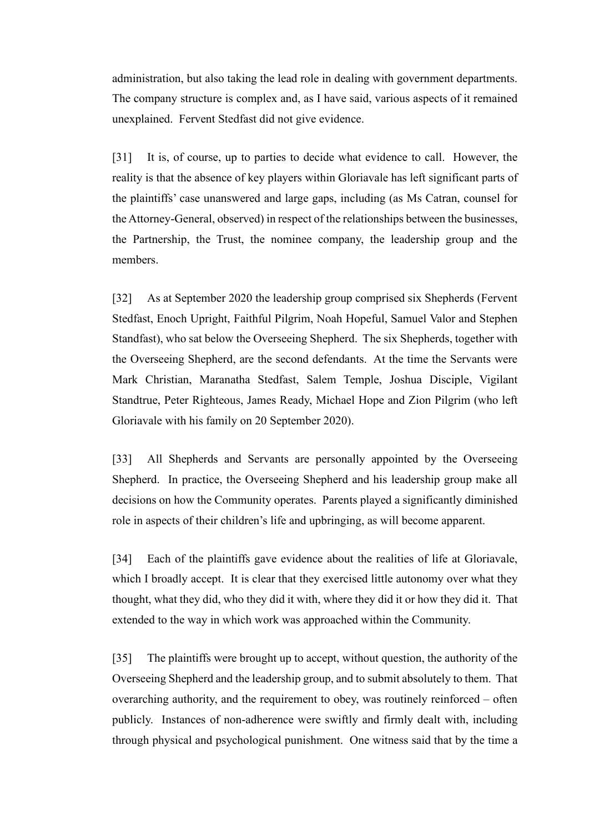administration, but also taking the lead role in dealing with government departments. The company structure is complex and, as I have said, various aspects of it remained unexplained. Fervent Stedfast did not give evidence.

[31] It is, of course, up to parties to decide what evidence to call. However, the reality is that the absence of key players within Gloriavale has left significant parts of the plaintiffs' case unanswered and large gaps, including (as Ms Catran, counsel for the Attorney-General, observed) in respect of the relationships between the businesses, the Partnership, the Trust, the nominee company, the leadership group and the members.

[32] As at September 2020 the leadership group comprised six Shepherds (Fervent Stedfast, Enoch Upright, Faithful Pilgrim, Noah Hopeful, Samuel Valor and Stephen Standfast), who sat below the Overseeing Shepherd. The six Shepherds, together with the Overseeing Shepherd, are the second defendants. At the time the Servants were Mark Christian, Maranatha Stedfast, Salem Temple, Joshua Disciple, Vigilant Standtrue, Peter Righteous, James Ready, Michael Hope and Zion Pilgrim (who left Gloriavale with his family on 20 September 2020).

[33] All Shepherds and Servants are personally appointed by the Overseeing Shepherd. In practice, the Overseeing Shepherd and his leadership group make all decisions on how the Community operates. Parents played a significantly diminished role in aspects of their children's life and upbringing, as will become apparent.

[34] Each of the plaintiffs gave evidence about the realities of life at Gloriavale, which I broadly accept. It is clear that they exercised little autonomy over what they thought, what they did, who they did it with, where they did it or how they did it. That extended to the way in which work was approached within the Community.

[35] The plaintiffs were brought up to accept, without question, the authority of the Overseeing Shepherd and the leadership group, and to submit absolutely to them. That overarching authority, and the requirement to obey, was routinely reinforced – often publicly. Instances of non-adherence were swiftly and firmly dealt with, including through physical and psychological punishment. One witness said that by the time a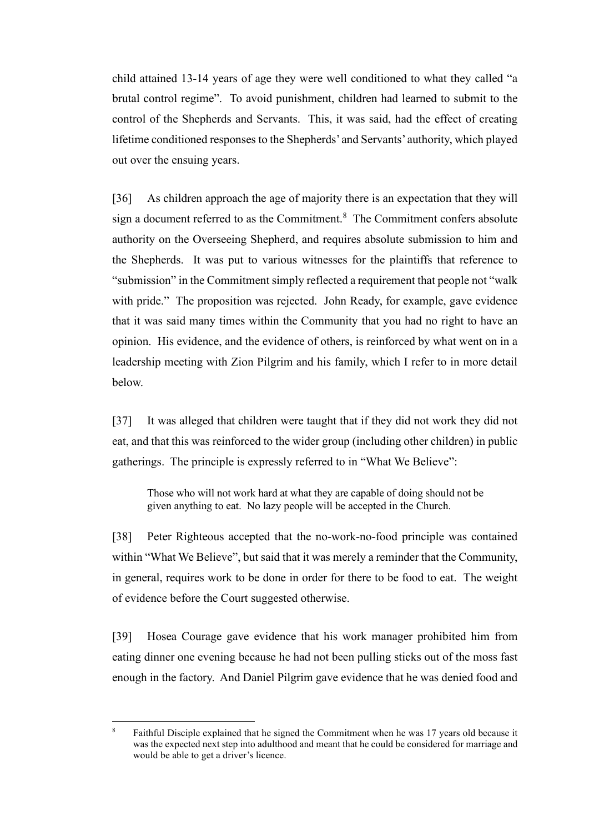child attained 13-14 years of age they were well conditioned to what they called "a brutal control regime". To avoid punishment, children had learned to submit to the control of the Shepherds and Servants. This, it was said, had the effect of creating lifetime conditioned responses to the Shepherds' and Servants' authority, which played out over the ensuing years.

[36] As children approach the age of majority there is an expectation that they will sign a document referred to as the Commitment. $8$  The Commitment confers absolute authority on the Overseeing Shepherd, and requires absolute submission to him and the Shepherds. It was put to various witnesses for the plaintiffs that reference to "submission" in the Commitment simply reflected a requirement that people not "walk with pride." The proposition was rejected. John Ready, for example, gave evidence that it was said many times within the Community that you had no right to have an opinion. His evidence, and the evidence of others, is reinforced by what went on in a leadership meeting with Zion Pilgrim and his family, which I refer to in more detail below.

[37] It was alleged that children were taught that if they did not work they did not eat, and that this was reinforced to the wider group (including other children) in public gatherings. The principle is expressly referred to in "What We Believe":

Those who will not work hard at what they are capable of doing should not be given anything to eat. No lazy people will be accepted in the Church.

[38] Peter Righteous accepted that the no-work-no-food principle was contained within "What We Believe", but said that it was merely a reminder that the Community, in general, requires work to be done in order for there to be food to eat. The weight of evidence before the Court suggested otherwise.

[39] Hosea Courage gave evidence that his work manager prohibited him from eating dinner one evening because he had not been pulling sticks out of the moss fast enough in the factory. And Daniel Pilgrim gave evidence that he was denied food and

<span id="page-10-0"></span><sup>8</sup> Faithful Disciple explained that he signed the Commitment when he was 17 years old because it was the expected next step into adulthood and meant that he could be considered for marriage and would be able to get a driver's licence.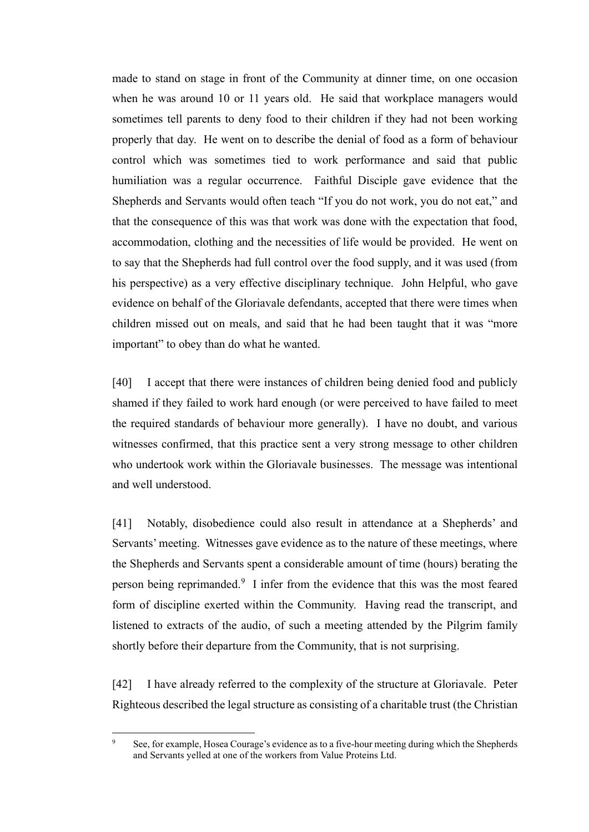made to stand on stage in front of the Community at dinner time, on one occasion when he was around 10 or 11 years old.He said that workplace managers would sometimes tell parents to deny food to their children if they had not been working properly that day.He went on to describe the denial of food as a form of behaviour control which was sometimes tied to work performance and said that public humiliation was a regular occurrence.Faithful Disciple gave evidence that the Shepherds and Servants would often teach "If you do not work, you do not eat," and that the consequence of this was that work was done with the expectation that food, accommodation, clothing and the necessities of life would be provided.He went on to say that the Shepherds had full control over the food supply, and it was used (from his perspective) as a very effective disciplinary technique. John Helpful, who gave evidence on behalf of the Gloriavale defendants, accepted that there were times when children missed out on meals, and said that he had been taught that it was "more important" to obey than do what he wanted.

[40] I accept that there were instances of children being denied food and publicly shamed if they failed to work hard enough (or were perceived to have failed to meet the required standards of behaviour more generally). I have no doubt, and various witnesses confirmed, that this practice sent a very strong message to other children who undertook work within the Gloriavale businesses. The message was intentional and well understood.

[41] Notably, disobedience could also result in attendance at a Shepherds' and Servants' meeting. Witnesses gave evidence as to the nature of these meetings, where the Shepherds and Servants spent a considerable amount of time (hours) berating the person being reprimanded.<sup>[9](#page-11-0)</sup> I infer from the evidence that this was the most feared form of discipline exerted within the Community. Having read the transcript, and listened to extracts of the audio, of such a meeting attended by the Pilgrim family shortly before their departure from the Community, that is not surprising.

[42] I have already referred to the complexity of the structure at Gloriavale. Peter Righteous described the legal structure as consisting of a charitable trust (the Christian

<span id="page-11-0"></span><sup>&</sup>lt;sup>9</sup> See, for example, Hosea Courage's evidence as to a five-hour meeting during which the Shepherds and Servants yelled at one of the workers from Value Proteins Ltd.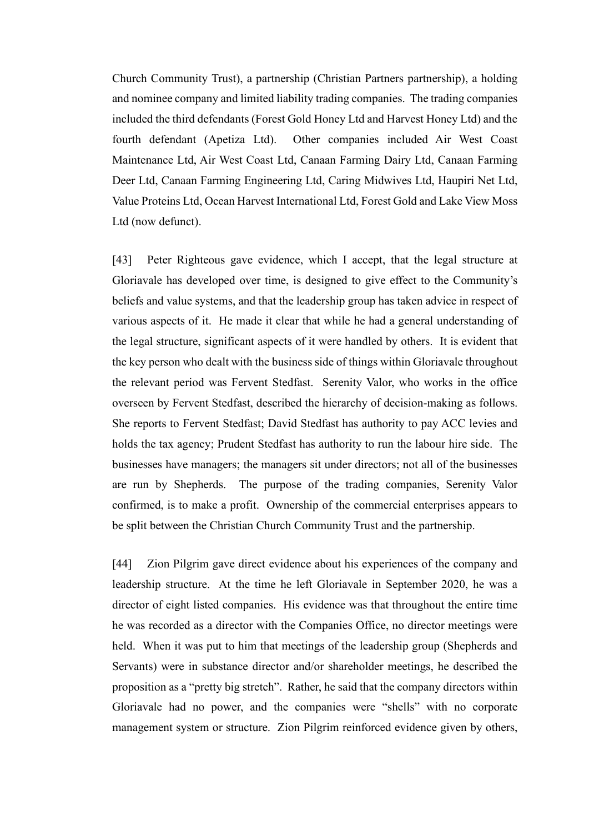Church Community Trust), a partnership (Christian Partners partnership), a holding and nominee company and limited liability trading companies. The trading companies included the third defendants (Forest Gold Honey Ltd and Harvest Honey Ltd) and the fourth defendant (Apetiza Ltd). Other companies included Air West Coast Maintenance Ltd, Air West Coast Ltd, Canaan Farming Dairy Ltd, Canaan Farming Deer Ltd, Canaan Farming Engineering Ltd, Caring Midwives Ltd, Haupiri Net Ltd, Value Proteins Ltd, Ocean Harvest International Ltd, Forest Gold and Lake View Moss Ltd (now defunct).

[43] Peter Righteous gave evidence, which I accept, that the legal structure at Gloriavale has developed over time, is designed to give effect to the Community's beliefs and value systems, and that the leadership group has taken advice in respect of various aspects of it.He made it clear that while he had a general understanding of the legal structure, significant aspects of it were handled by others. It is evident that the key person who dealt with the business side of things within Gloriavale throughout the relevant period was Fervent Stedfast. Serenity Valor, who works in the office overseen by Fervent Stedfast, described the hierarchy of decision-making as follows. She reports to Fervent Stedfast; David Stedfast has authority to pay ACC levies and holds the tax agency; Prudent Stedfast has authority to run the labour hire side. The businesses have managers; the managers sit under directors; not all of the businesses are run by Shepherds. The purpose of the trading companies, Serenity Valor confirmed, is to make a profit. Ownership of the commercial enterprises appears to be split between the Christian Church Community Trust and the partnership.

[44] Zion Pilgrim gave direct evidence about his experiences of the company and leadership structure. At the time he left Gloriavale in September 2020, he was a director of eight listed companies. His evidence was that throughout the entire time he was recorded as a director with the Companies Office, no director meetings were held. When it was put to him that meetings of the leadership group (Shepherds and Servants) were in substance director and/or shareholder meetings, he described the proposition as a "pretty big stretch". Rather, he said that the company directors within Gloriavale had no power, and the companies were "shells" with no corporate management system or structure. Zion Pilgrim reinforced evidence given by others,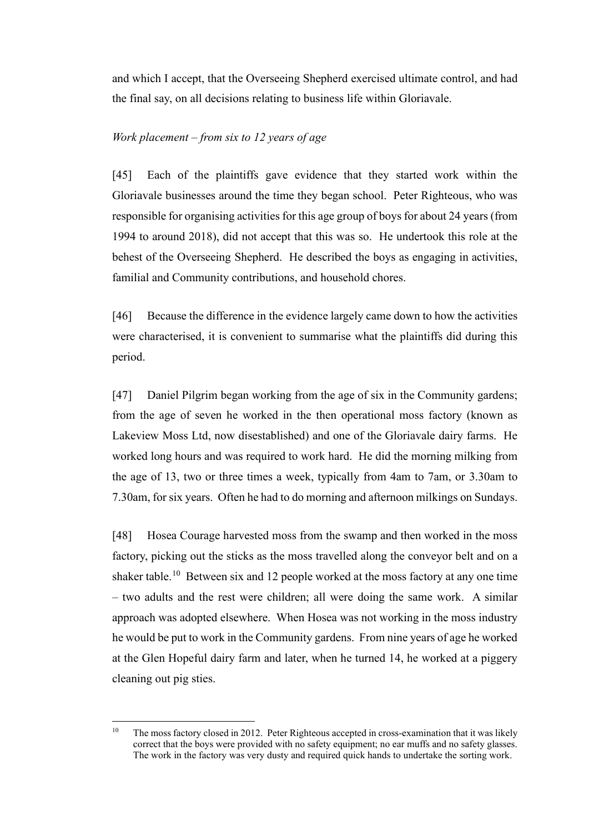and which I accept, that the Overseeing Shepherd exercised ultimate control, and had the final say, on all decisions relating to business life within Gloriavale.

## *Work placement – from six to 12 years of age*

[45] Each of the plaintiffs gave evidence that they started work within the Gloriavale businesses around the time they began school. Peter Righteous, who was responsible for organising activities for this age group of boys for about 24 years (from 1994 to around 2018), did not accept that this was so. He undertook this role at the behest of the Overseeing Shepherd.He described the boys as engaging in activities, familial and Community contributions, and household chores.

[46] Because the difference in the evidence largely came down to how the activities were characterised, it is convenient to summarise what the plaintiffs did during this period.

[47] Daniel Pilgrim began working from the age of six in the Community gardens; from the age of seven he worked in the then operational moss factory (known as Lakeview Moss Ltd, now disestablished) and one of the Gloriavale dairy farms.He worked long hours and was required to work hard. He did the morning milking from the age of 13, two or three times a week, typically from 4am to 7am, or 3.30am to 7.30am, for six years. Often he had to do morning and afternoon milkings on Sundays.

[48] Hosea Courage harvested moss from the swamp and then worked in the moss factory, picking out the sticks as the moss travelled along the conveyor belt and on a shaker table.<sup>[10](#page-13-0)</sup> Between six and 12 people worked at the moss factory at any one time – two adults and the rest were children; all were doing the same work. A similar approach was adopted elsewhere. When Hosea was not working in the moss industry he would be put to work in the Community gardens. From nine years of age he worked at the Glen Hopeful dairy farm and later, when he turned 14, he worked at a piggery cleaning out pig sties.

<span id="page-13-0"></span><sup>&</sup>lt;sup>10</sup> The moss factory closed in 2012. Peter Righteous accepted in cross-examination that it was likely correct that the boys were provided with no safety equipment; no ear muffs and no safety glasses. The work in the factory was very dusty and required quick hands to undertake the sorting work.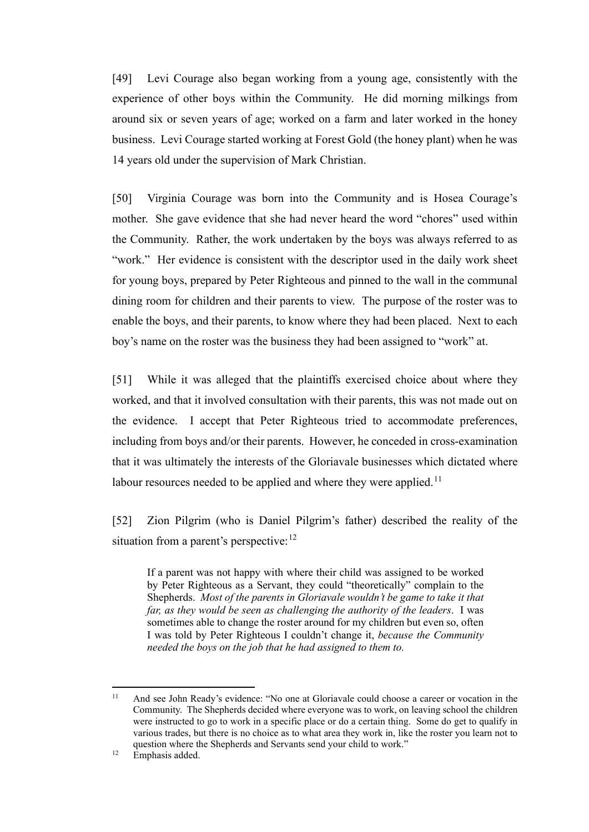[49] Levi Courage also began working from a young age, consistently with the experience of other boys within the Community. He did morning milkings from around six or seven years of age; worked on a farm and later worked in the honey business. Levi Courage started working at Forest Gold (the honey plant) when he was 14 years old under the supervision of Mark Christian.

[50] Virginia Courage was born into the Community and is Hosea Courage's mother. She gave evidence that she had never heard the word "chores" used within the Community. Rather, the work undertaken by the boys was always referred to as "work." Her evidence is consistent with the descriptor used in the daily work sheet for young boys, prepared by Peter Righteous and pinned to the wall in the communal dining room for children and their parents to view. The purpose of the roster was to enable the boys, and their parents, to know where they had been placed. Next to each boy's name on the roster was the business they had been assigned to "work" at.

[51] While it was alleged that the plaintiffs exercised choice about where they worked, and that it involved consultation with their parents, this was not made out on the evidence. I accept that Peter Righteous tried to accommodate preferences, including from boys and/or their parents.However, he conceded in cross-examination that it was ultimately the interests of the Gloriavale businesses which dictated where labour resources needed to be applied and where they were applied.<sup>11</sup>

[52] Zion Pilgrim (who is Daniel Pilgrim's father) described the reality of the situation from a parent's perspective:  $12$ 

If a parent was not happy with where their child was assigned to be worked by Peter Righteous as a Servant, they could "theoretically" complain to the Shepherds. *Most of the parents in Gloriavale wouldn't be game to take it that far, as they would be seen as challenging the authority of the leaders*. I was sometimes able to change the roster around for my children but even so, often I was told by Peter Righteous I couldn't change it, *because the Community needed the boys on the job that he had assigned to them to.*

<span id="page-14-0"></span><sup>&</sup>lt;sup>11</sup> And see John Ready's evidence: "No one at Gloriavale could choose a career or vocation in the Community. The Shepherds decided where everyone was to work, on leaving school the children were instructed to go to work in a specific place or do a certain thing. Some do get to qualify in various trades, but there is no choice as to what area they work in, like the roster you learn not to question where the Shepherds and Servants send your child to work."

<span id="page-14-1"></span> $12$  Emphasis added.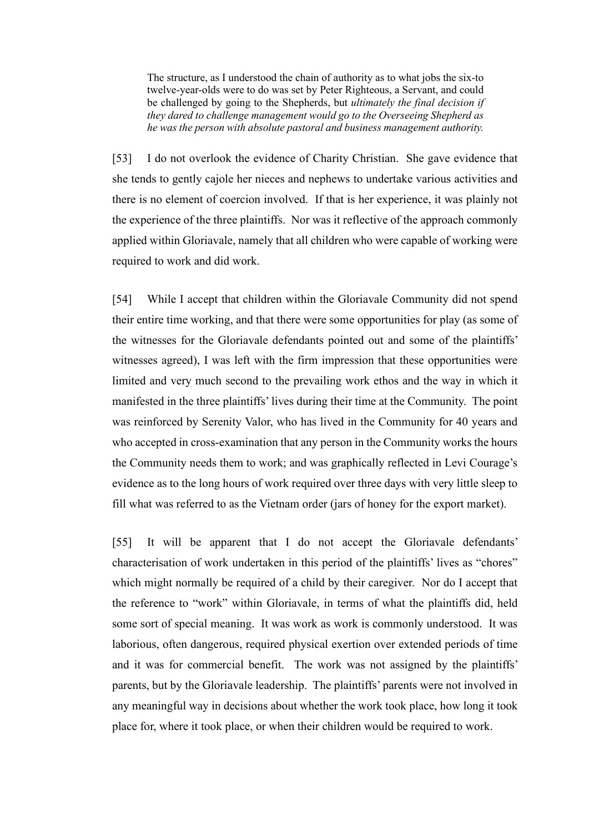The structure, as I understood the chain of authority as to what jobs the six-to twelve-year-olds were to do was set by Peter Righteous, a Servant, and could be challenged by going to the Shepherds, but *ultimately the final decision if they dared to challenge management would go to the Overseeing Shepherd as he was the person with absolute pastoral and business management authority.*

[53] I do not overlook the evidence of Charity Christian.She gave evidence that she tends to gently cajole her nieces and nephews to undertake various activities and there is no element of coercion involved. If that is her experience, it was plainly not the experience of the three plaintiffs. Nor was it reflective of the approach commonly applied within Gloriavale, namely that all children who were capable of working were required to work and did work.

[54] While I accept that children within the Gloriavale Community did not spend their entire time working, and that there were some opportunities for play (as some of the witnesses for the Gloriavale defendants pointed out and some of the plaintiffs' witnesses agreed), I was left with the firm impression that these opportunities were limited and very much second to the prevailing work ethos and the way in which it manifested in the three plaintiffs' lives during their time at the Community.The point was reinforced by Serenity Valor, who has lived in the Community for 40 years and who accepted in cross-examination that any person in the Community works the hours the Community needs them to work; and was graphically reflected in Levi Courage's evidence as to the long hours of work required over three days with very little sleep to fill what was referred to as the Vietnam order (jars of honey for the export market).

[55] It will be apparent that I do not accept the Gloriavale defendants' characterisation of work undertaken in this period of the plaintiffs' lives as "chores" which might normally be required of a child by their caregiver. Nor do I accept that the reference to "work" within Gloriavale, in terms of what the plaintiffs did, held some sort of special meaning. It was work as work is commonly understood. It was laborious, often dangerous, required physical exertion over extended periods of time and it was for commercial benefit. The work was not assigned by the plaintiffs' parents, but by the Gloriavale leadership. The plaintiffs' parents were not involved in any meaningful way in decisions about whether the work took place, how long it took place for, where it took place, or when their children would be required to work.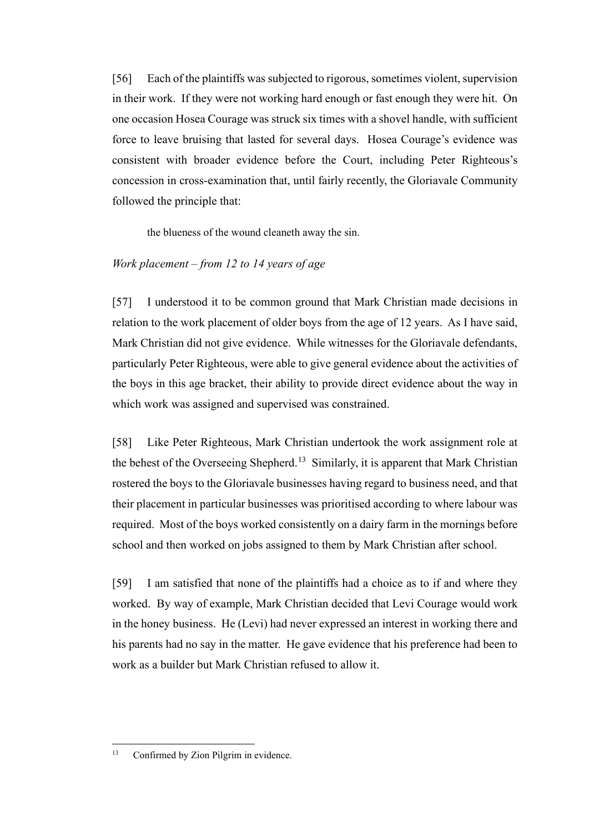[56] Each of the plaintiffs was subjected to rigorous, sometimes violent, supervision in their work.If they were not working hard enough or fast enough they were hit. On one occasion Hosea Courage was struck six times with a shovel handle, with sufficient force to leave bruising that lasted for several days. Hosea Courage's evidence was consistent with broader evidence before the Court, including Peter Righteous's concession in cross-examination that, until fairly recently, the Gloriavale Community followed the principle that:

the blueness of the wound cleaneth away the sin.

#### *Work placement – from 12 to 14 years of age*

[57] I understood it to be common ground that Mark Christian made decisions in relation to the work placement of older boys from the age of 12 years. As I have said, Mark Christian did not give evidence. While witnesses for the Gloriavale defendants, particularly Peter Righteous, were able to give general evidence about the activities of the boys in this age bracket, their ability to provide direct evidence about the way in which work was assigned and supervised was constrained.

[58] Like Peter Righteous, Mark Christian undertook the work assignment role at the behest of the Overseeing Shepherd.<sup>[13](#page-16-0)</sup> Similarly, it is apparent that Mark Christian rostered the boys to the Gloriavale businesses having regard to business need, and that their placement in particular businesses was prioritised according to where labour was required.Most of the boys worked consistently on a dairy farm in the mornings before school and then worked on jobs assigned to them by Mark Christian after school.

[59] I am satisfied that none of the plaintiffs had a choice as to if and where they worked. By way of example, Mark Christian decided that Levi Courage would work in the honey business. He (Levi) had never expressed an interest in working there and his parents had no say in the matter. He gave evidence that his preference had been to work as a builder but Mark Christian refused to allow it.

<span id="page-16-0"></span><sup>&</sup>lt;sup>13</sup> Confirmed by Zion Pilgrim in evidence.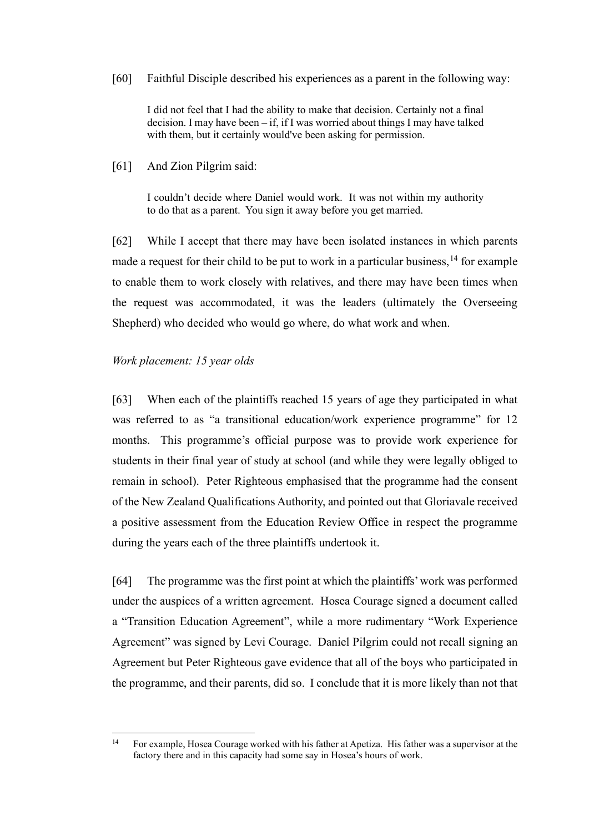[60] Faithful Disciple described his experiences as a parent in the following way:

I did not feel that I had the ability to make that decision. Certainly not a final decision. I may have been – if, if I was worried about things I may have talked with them, but it certainly would've been asking for permission.

[61] And Zion Pilgrim said:

I couldn't decide where Daniel would work. It was not within my authority to do that as a parent. You sign it away before you get married.

[62] While I accept that there may have been isolated instances in which parents made a request for their child to be put to work in a particular business,  $14$  for example to enable them to work closely with relatives, and there may have been times when the request was accommodated, it was the leaders (ultimately the Overseeing Shepherd) who decided who would go where, do what work and when.

# *Work placement: 15 year olds*

[63] When each of the plaintiffs reached 15 years of age they participated in what was referred to as "a transitional education/work experience programme" for 12 months. This programme's official purpose was to provide work experience for students in their final year of study at school (and while they were legally obliged to remain in school). Peter Righteous emphasised that the programme had the consent of the New Zealand Qualifications Authority, and pointed out that Gloriavale received a positive assessment from the Education Review Office in respect the programme during the years each of the three plaintiffs undertook it.

[64] The programme was the first point at which the plaintiffs' work was performed under the auspices of a written agreement. Hosea Courage signed a document called a "Transition Education Agreement", while a more rudimentary "Work Experience Agreement" was signed by Levi Courage. Daniel Pilgrim could not recall signing an Agreement but Peter Righteous gave evidence that all of the boys who participated in the programme, and their parents, did so. I conclude that it is more likely than not that

<span id="page-17-0"></span><sup>&</sup>lt;sup>14</sup> For example, Hosea Courage worked with his father at Apetiza. His father was a supervisor at the factory there and in this capacity had some say in Hosea's hours of work.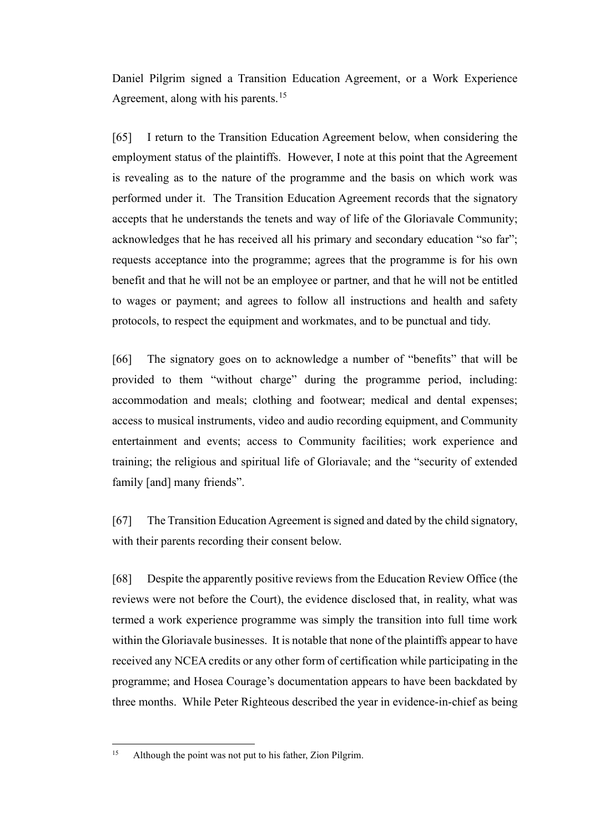Daniel Pilgrim signed a Transition Education Agreement, or a Work Experience Agreement, along with his parents.<sup>[15](#page-18-0)</sup>

[65] I return to the Transition Education Agreement below, when considering the employment status of the plaintiffs. However, I note at this point that the Agreement is revealing as to the nature of the programme and the basis on which work was performed under it. The Transition Education Agreement records that the signatory accepts that he understands the tenets and way of life of the Gloriavale Community; acknowledges that he has received all his primary and secondary education "so far"; requests acceptance into the programme; agrees that the programme is for his own benefit and that he will not be an employee or partner, and that he will not be entitled to wages or payment; and agrees to follow all instructions and health and safety protocols, to respect the equipment and workmates, and to be punctual and tidy.

[66] The signatory goes on to acknowledge a number of "benefits" that will be provided to them "without charge" during the programme period, including: accommodation and meals; clothing and footwear; medical and dental expenses; access to musical instruments, video and audio recording equipment, and Community entertainment and events; access to Community facilities; work experience and training; the religious and spiritual life of Gloriavale; and the "security of extended family [and] many friends".

[67] The Transition Education Agreement is signed and dated by the child signatory, with their parents recording their consent below.

[68] Despite the apparently positive reviews from the Education Review Office (the reviews were not before the Court), the evidence disclosed that, in reality, what was termed a work experience programme was simply the transition into full time work within the Gloriavale businesses. It is notable that none of the plaintiffs appear to have received any NCEA credits or any other form of certification while participating in the programme; and Hosea Courage's documentation appears to have been backdated by three months. While Peter Righteous described the year in evidence-in-chief as being

<span id="page-18-0"></span><sup>&</sup>lt;sup>15</sup> Although the point was not put to his father, Zion Pilgrim.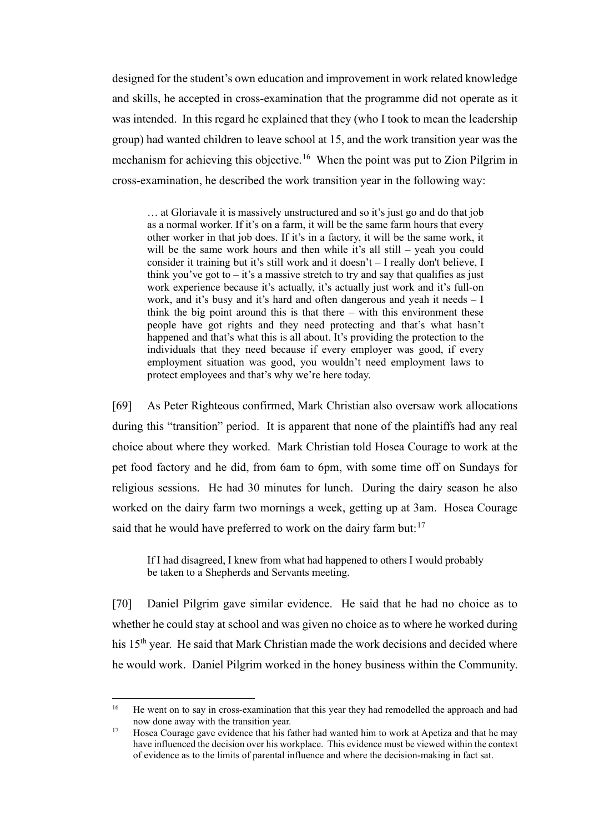designed for the student's own education and improvement in work related knowledge and skills, he accepted in cross-examination that the programme did not operate as it was intended.In this regard he explained that they (who I took to mean the leadership group) had wanted children to leave school at 15, and the work transition year was the mechanism for achieving this objective.<sup>16</sup> When the point was put to Zion Pilgrim in cross-examination, he described the work transition year in the following way:

… at Gloriavale it is massively unstructured and so it's just go and do that job as a normal worker. If it's on a farm, it will be the same farm hours that every other worker in that job does. If it's in a factory, it will be the same work, it will be the same work hours and then while it's all still – yeah you could consider it training but it's still work and it doesn't – I really don't believe, I think you've got to  $-$  it's a massive stretch to try and say that qualifies as just work experience because it's actually, it's actually just work and it's full-on work, and it's busy and it's hard and often dangerous and yeah it needs – I think the big point around this is that there – with this environment these people have got rights and they need protecting and that's what hasn't happened and that's what this is all about. It's providing the protection to the individuals that they need because if every employer was good, if every employment situation was good, you wouldn't need employment laws to protect employees and that's why we're here today.

[69] As Peter Righteous confirmed, Mark Christian also oversaw work allocations during this "transition" period. It is apparent that none of the plaintiffs had any real choice about where they worked. Mark Christian told Hosea Courage to work at the pet food factory and he did, from 6am to 6pm, with some time off on Sundays for religious sessions. He had 30 minutes for lunch. During the dairy season he also worked on the dairy farm two mornings a week, getting up at 3am. Hosea Courage said that he would have preferred to work on the dairy farm but: $17$ 

If I had disagreed, I knew from what had happened to others I would probably be taken to a Shepherds and Servants meeting.

[70] Daniel Pilgrim gave similar evidence. He said that he had no choice as to whether he could stay at school and was given no choice as to where he worked during his 15<sup>th</sup> year. He said that Mark Christian made the work decisions and decided where he would work. Daniel Pilgrim worked in the honey business within the Community.

<span id="page-19-0"></span><sup>&</sup>lt;sup>16</sup> He went on to say in cross-examination that this year they had remodelled the approach and had now done away with the transition year.<br><sup>17</sup> Hosea Courage gave evidence that his father had wanted him to work at Apetiza and that he may

<span id="page-19-1"></span>have influenced the decision over his workplace. This evidence must be viewed within the context of evidence as to the limits of parental influence and where the decision-making in fact sat.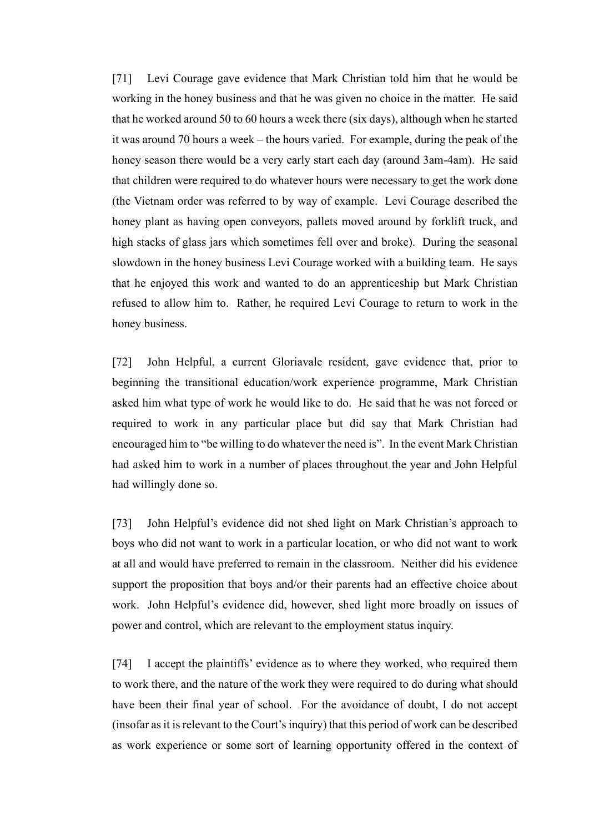[71] Levi Courage gave evidence that Mark Christian told him that he would be working in the honey business and that he was given no choice in the matter. He said that he worked around 50 to 60 hours a week there (six days), although when he started it was around 70 hours a week – the hours varied. For example, during the peak of the honey season there would be a very early start each day (around 3am-4am). He said that children were required to do whatever hours were necessary to get the work done (the Vietnam order was referred to by way of example. Levi Courage described the honey plant as having open conveyors, pallets moved around by forklift truck, and high stacks of glass jars which sometimes fell over and broke). During the seasonal slowdown in the honey business Levi Courage worked with a building team. He says that he enjoyed this work and wanted to do an apprenticeship but Mark Christian refused to allow him to. Rather, he required Levi Courage to return to work in the honey business.

[72] John Helpful, a current Gloriavale resident, gave evidence that, prior to beginning the transitional education/work experience programme, Mark Christian asked him what type of work he would like to do. He said that he was not forced or required to work in any particular place but did say that Mark Christian had encouraged him to "be willing to do whatever the need is". In the event Mark Christian had asked him to work in a number of places throughout the year and John Helpful had willingly done so.

[73] John Helpful's evidence did not shed light on Mark Christian's approach to boys who did not want to work in a particular location, or who did not want to work at all and would have preferred to remain in the classroom. Neither did his evidence support the proposition that boys and/or their parents had an effective choice about work. John Helpful's evidence did, however, shed light more broadly on issues of power and control, which are relevant to the employment status inquiry.

[74] I accept the plaintiffs' evidence as to where they worked, who required them to work there, and the nature of the work they were required to do during what should have been their final year of school. For the avoidance of doubt, I do not accept (insofar as it is relevant to the Court's inquiry) that this period of work can be described as work experience or some sort of learning opportunity offered in the context of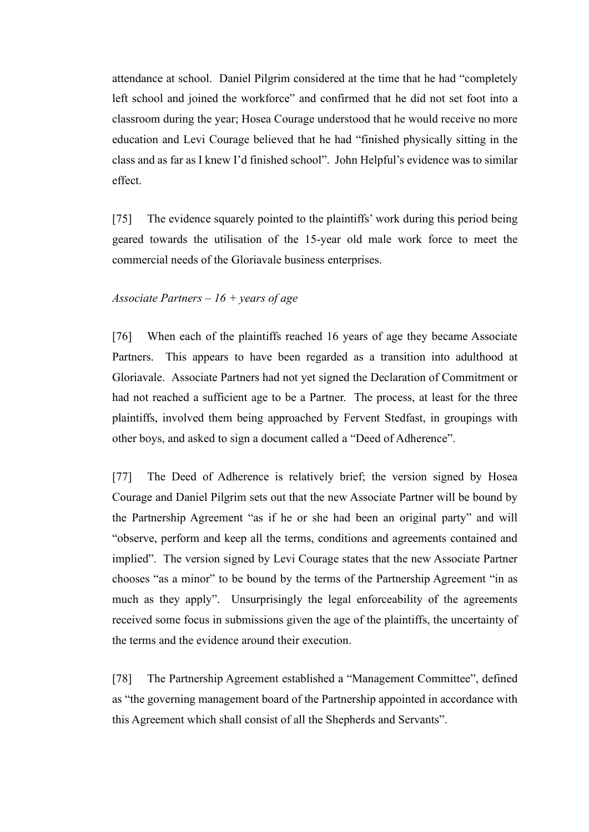attendance at school. Daniel Pilgrim considered at the time that he had "completely left school and joined the workforce" and confirmed that he did not set foot into a classroom during the year; Hosea Courage understood that he would receive no more education and Levi Courage believed that he had "finished physically sitting in the class and as far as I knew I'd finished school". John Helpful's evidence was to similar effect.

[75] The evidence squarely pointed to the plaintiffs' work during this period being geared towards the utilisation of the 15-year old male work force to meet the commercial needs of the Gloriavale business enterprises.

## *Associate Partners – 16 + years of age*

[76] When each of the plaintiffs reached 16 years of age they became Associate Partners. This appears to have been regarded as a transition into adulthood at Gloriavale.Associate Partners had not yet signed the Declaration of Commitment or had not reached a sufficient age to be a Partner. The process, at least for the three plaintiffs, involved them being approached by Fervent Stedfast, in groupings with other boys, and asked to sign a document called a "Deed of Adherence".

[77] The Deed of Adherence is relatively brief; the version signed by Hosea Courage and Daniel Pilgrim sets out that the new Associate Partner will be bound by the Partnership Agreement "as if he or she had been an original party" and will "observe, perform and keep all the terms, conditions and agreements contained and implied". The version signed by Levi Courage states that the new Associate Partner chooses "as a minor" to be bound by the terms of the Partnership Agreement "in as much as they apply". Unsurprisingly the legal enforceability of the agreements received some focus in submissions given the age of the plaintiffs, the uncertainty of the terms and the evidence around their execution.

[78] The Partnership Agreement established a "Management Committee", defined as "the governing management board of the Partnership appointed in accordance with this Agreement which shall consist of all the Shepherds and Servants".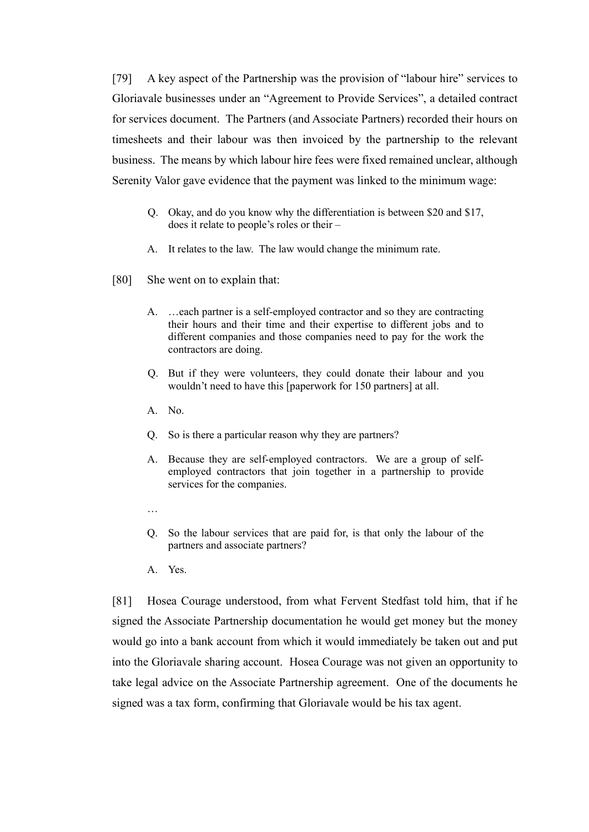[79] A key aspect of the Partnership was the provision of "labour hire" services to Gloriavale businesses under an "Agreement to Provide Services", a detailed contract for services document. The Partners (and Associate Partners) recorded their hours on timesheets and their labour was then invoiced by the partnership to the relevant business. The means by which labour hire fees were fixed remained unclear, although Serenity Valor gave evidence that the payment was linked to the minimum wage:

- Q. Okay, and do you know why the differentiation is between \$20 and \$17, does it relate to people's roles or their –
- A. It relates to the law. The law would change the minimum rate.
- [80] She went on to explain that:
	- A. …each partner is a self-employed contractor and so they are contracting their hours and their time and their expertise to different jobs and to different companies and those companies need to pay for the work the contractors are doing.
	- Q. But if they were volunteers, they could donate their labour and you wouldn't need to have this [paperwork for 150 partners] at all.
	- A. No.
	- Q. So is there a particular reason why they are partners?
	- A. Because they are self-employed contractors. We are a group of selfemployed contractors that join together in a partnership to provide services for the companies.
	- …
	- Q. So the labour services that are paid for, is that only the labour of the partners and associate partners?
	- A. Yes.

[81] Hosea Courage understood, from what Fervent Stedfast told him, that if he signed the Associate Partnership documentation he would get money but the money would go into a bank account from which it would immediately be taken out and put into the Gloriavale sharing account. Hosea Courage was not given an opportunity to take legal advice on the Associate Partnership agreement. One of the documents he signed was a tax form, confirming that Gloriavale would be his tax agent.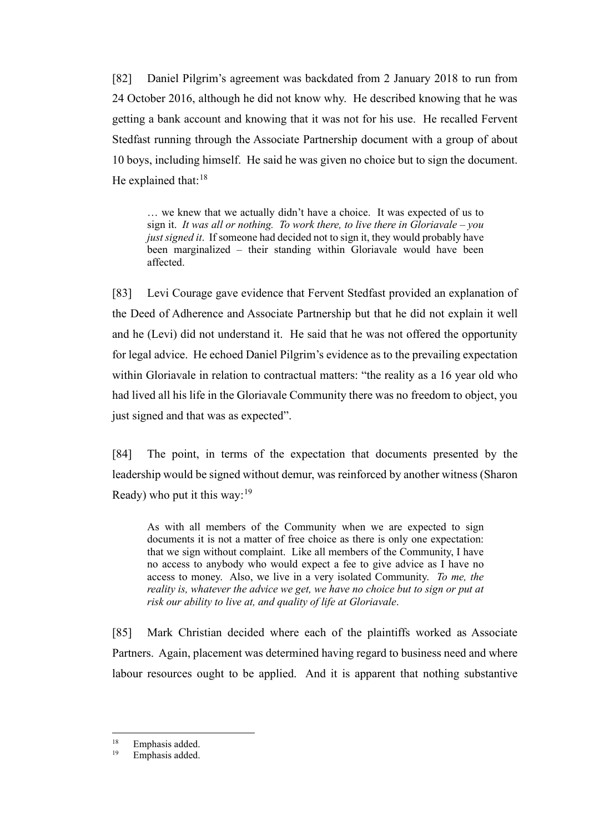[82] Daniel Pilgrim's agreement was backdated from 2 January 2018 to run from 24 October 2016, although he did not know why. He described knowing that he was getting a bank account and knowing that it was not for his use. He recalled Fervent Stedfast running through the Associate Partnership document with a group of about 10 boys, including himself. He said he was given no choice but to sign the document. He explained that:  $18$ 

… we knew that we actually didn't have a choice. It was expected of us to sign it. *It was all or nothing. To work there, to live there in Gloriavale – you just signed it*. If someone had decided not to sign it, they would probably have been marginalized – their standing within Gloriavale would have been affected.

[83] Levi Courage gave evidence that Fervent Stedfast provided an explanation of the Deed of Adherence and Associate Partnership but that he did not explain it well and he (Levi) did not understand it. He said that he was not offered the opportunity for legal advice. He echoed Daniel Pilgrim's evidence as to the prevailing expectation within Gloriavale in relation to contractual matters: "the reality as a 16 year old who had lived all his life in the Gloriavale Community there was no freedom to object, you just signed and that was as expected".

[84] The point, in terms of the expectation that documents presented by the leadership would be signed without demur, was reinforced by another witness (Sharon Ready) who put it this way:  $19$ 

As with all members of the Community when we are expected to sign documents it is not a matter of free choice as there is only one expectation: that we sign without complaint. Like all members of the Community, I have no access to anybody who would expect a fee to give advice as I have no access to money. Also, we live in a very isolated Community. *To me, the reality is, whatever the advice we get, we have no choice but to sign or put at risk our ability to live at, and quality of life at Gloriavale*.

[85] Mark Christian decided where each of the plaintiffs worked as Associate Partners. Again, placement was determined having regard to business need and where labour resources ought to be applied. And it is apparent that nothing substantive

<span id="page-23-1"></span><span id="page-23-0"></span> $18$  Emphasis added.

Emphasis added.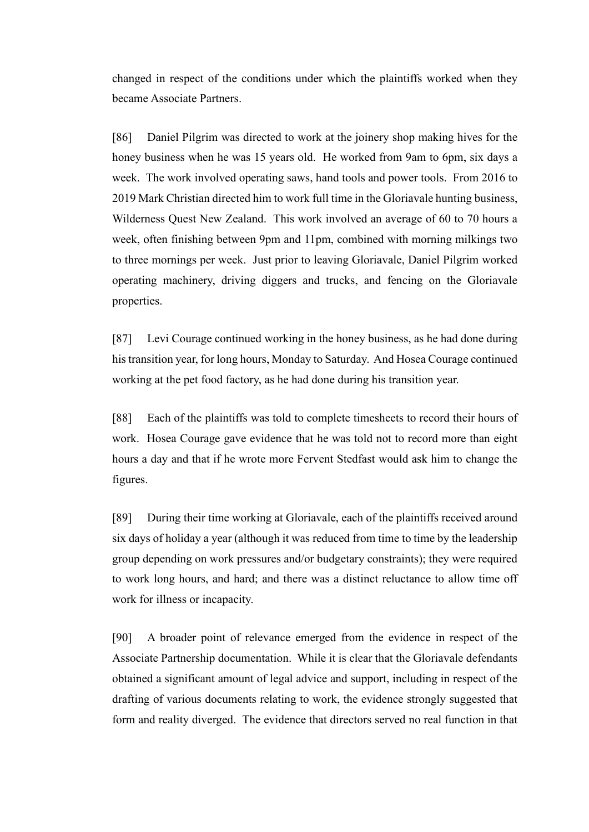changed in respect of the conditions under which the plaintiffs worked when they became Associate Partners.

[86] Daniel Pilgrim was directed to work at the joinery shop making hives for the honey business when he was 15 years old. He worked from 9am to 6pm, six days a week. The work involved operating saws, hand tools and power tools. From 2016 to 2019 Mark Christian directed him to work full time in the Gloriavale hunting business, Wilderness Quest New Zealand. This work involved an average of 60 to 70 hours a week, often finishing between 9pm and 11pm, combined with morning milkings two to three mornings per week. Just prior to leaving Gloriavale, Daniel Pilgrim worked operating machinery, driving diggers and trucks, and fencing on the Gloriavale properties.

[87] Levi Courage continued working in the honey business, as he had done during his transition year, for long hours, Monday to Saturday. And Hosea Courage continued working at the pet food factory, as he had done during his transition year.

[88] Each of the plaintiffs was told to complete timesheets to record their hours of work. Hosea Courage gave evidence that he was told not to record more than eight hours a day and that if he wrote more Fervent Stedfast would ask him to change the figures.

[89] During their time working at Gloriavale, each of the plaintiffs received around six days of holiday a year (although it was reduced from time to time by the leadership group depending on work pressures and/or budgetary constraints); they were required to work long hours, and hard; and there was a distinct reluctance to allow time off work for illness or incapacity.

[90] A broader point of relevance emerged from the evidence in respect of the Associate Partnership documentation. While it is clear that the Gloriavale defendants obtained a significant amount of legal advice and support, including in respect of the drafting of various documents relating to work, the evidence strongly suggested that form and reality diverged. The evidence that directors served no real function in that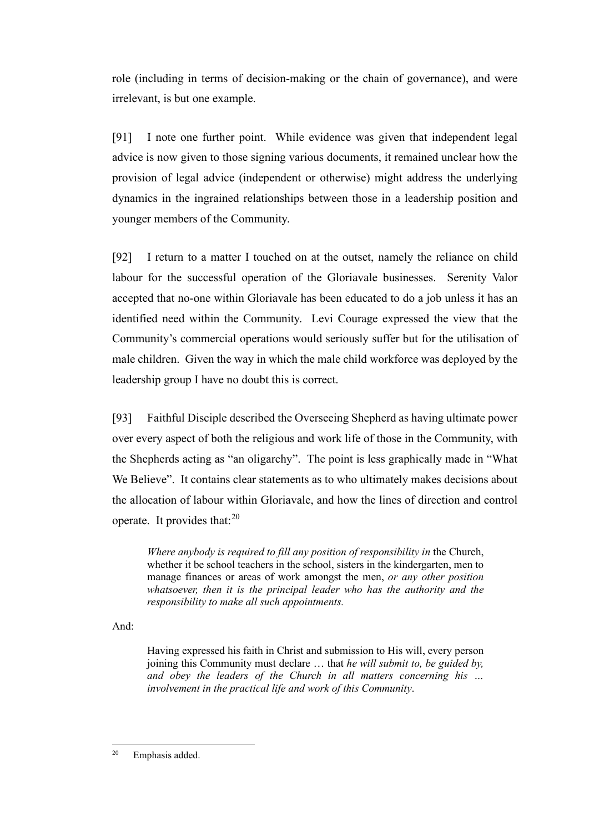role (including in terms of decision-making or the chain of governance), and were irrelevant, is but one example.

[91] I note one further point. While evidence was given that independent legal advice is now given to those signing various documents, it remained unclear how the provision of legal advice (independent or otherwise) might address the underlying dynamics in the ingrained relationships between those in a leadership position and younger members of the Community.

[92] I return to a matter I touched on at the outset, namely the reliance on child labour for the successful operation of the Gloriavale businesses. Serenity Valor accepted that no-one within Gloriavale has been educated to do a job unless it has an identified need within the Community. Levi Courage expressed the view that the Community's commercial operations would seriously suffer but for the utilisation of male children.Given the way in which the male child workforce was deployed by the leadership group I have no doubt this is correct.

[93] Faithful Disciple described the Overseeing Shepherd as having ultimate power over every aspect of both the religious and work life of those in the Community, with the Shepherds acting as "an oligarchy". The point is less graphically made in "What We Believe". It contains clear statements as to who ultimately makes decisions about the allocation of labour within Gloriavale, and how the lines of direction and control operate. It provides that: $^{20}$  $^{20}$  $^{20}$ 

*Where anybody is required to fill any position of responsibility in* the Church, whether it be school teachers in the school, sisters in the kindergarten, men to manage finances or areas of work amongst the men, *or any other position whatsoever, then it is the principal leader who has the authority and the responsibility to make all such appointments.*

And:

Having expressed his faith in Christ and submission to His will, every person joining this Community must declare … that *he will submit to, be guided by, and obey the leaders of the Church in all matters concerning his … involvement in the practical life and work of this Community*.

<span id="page-25-0"></span><sup>20</sup> Emphasis added.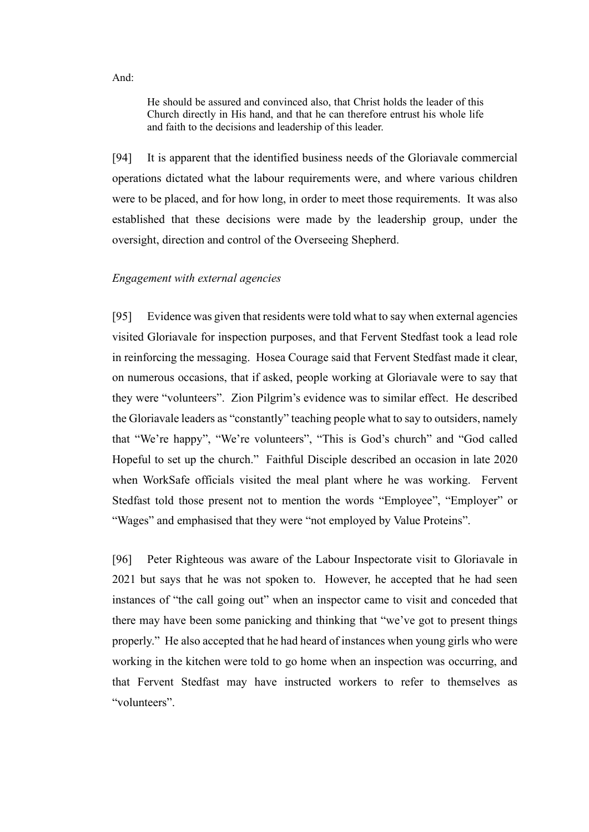He should be assured and convinced also, that Christ holds the leader of this Church directly in His hand, and that he can therefore entrust his whole life and faith to the decisions and leadership of this leader.

[94] It is apparent that the identified business needs of the Gloriavale commercial operations dictated what the labour requirements were, and where various children were to be placed, and for how long, in order to meet those requirements. It was also established that these decisions were made by the leadership group, under the oversight, direction and control of the Overseeing Shepherd.

# *Engagement with external agencies*

[95] Evidence was given that residents were told what to say when external agencies visited Gloriavale for inspection purposes, and that Fervent Stedfast took a lead role in reinforcing the messaging. Hosea Courage said that Fervent Stedfast made it clear, on numerous occasions, that if asked, people working at Gloriavale were to say that they were "volunteers". Zion Pilgrim's evidence was to similar effect. He described the Gloriavale leaders as "constantly" teaching people what to say to outsiders, namely that "We're happy", "We're volunteers", "This is God's church" and "God called Hopeful to set up the church."Faithful Disciple described an occasion in late 2020 when WorkSafe officials visited the meal plant where he was working. Fervent Stedfast told those present not to mention the words "Employee", "Employer" or "Wages" and emphasised that they were "not employed by Value Proteins".

[96] Peter Righteous was aware of the Labour Inspectorate visit to Gloriavale in 2021 but says that he was not spoken to. However, he accepted that he had seen instances of "the call going out" when an inspector came to visit and conceded that there may have been some panicking and thinking that "we've got to present things properly." He also accepted that he had heard of instances when young girls who were working in the kitchen were told to go home when an inspection was occurring, and that Fervent Stedfast may have instructed workers to refer to themselves as "volunteers".

And: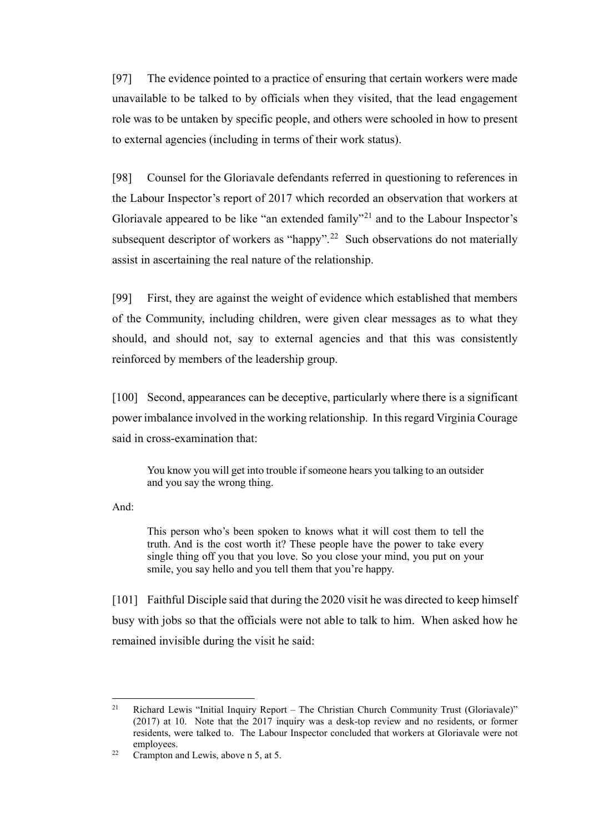[97] The evidence pointed to a practice of ensuring that certain workers were made unavailable to be talked to by officials when they visited, that the lead engagement role was to be untaken by specific people, and others were schooled in how to present to external agencies (including in terms of their work status).

[98] Counsel for the Gloriavale defendants referred in questioning to references in the Labour Inspector's report of 2017 which recorded an observation that workers at Gloriavale appeared to be like "an extended family"<sup>[21](#page-27-0)</sup> and to the Labour Inspector's subsequent descriptor of workers as "happy".<sup>[22](#page-27-1)</sup> Such observations do not materially assist in ascertaining the real nature of the relationship.

[99] First, they are against the weight of evidence which established that members of the Community, including children, were given clear messages as to what they should, and should not, say to external agencies and that this was consistently reinforced by members of the leadership group.

[100] Second, appearances can be deceptive, particularly where there is a significant power imbalance involved in the working relationship. In this regard Virginia Courage said in cross-examination that:

You know you will get into trouble if someone hears you talking to an outsider and you say the wrong thing.

And:

This person who's been spoken to knows what it will cost them to tell the truth. And is the cost worth it? These people have the power to take every single thing off you that you love. So you close your mind, you put on your smile, you say hello and you tell them that you're happy.

[101] Faithful Disciple said that during the 2020 visit he was directed to keep himself busy with jobs so that the officials were not able to talk to him. When asked how he remained invisible during the visit he said:

<span id="page-27-0"></span><sup>&</sup>lt;sup>21</sup> Richard Lewis "Initial Inquiry Report – The Christian Church Community Trust (Gloriavale)" (2017) at 10. Note that the 2017 inquiry was a desk-top review and no residents, or former residents, were talked to. The Labour Inspector concluded that workers at Gloriavale were not employees.

<span id="page-27-1"></span> $22$  Crampton and Lewis, above n 5, at 5.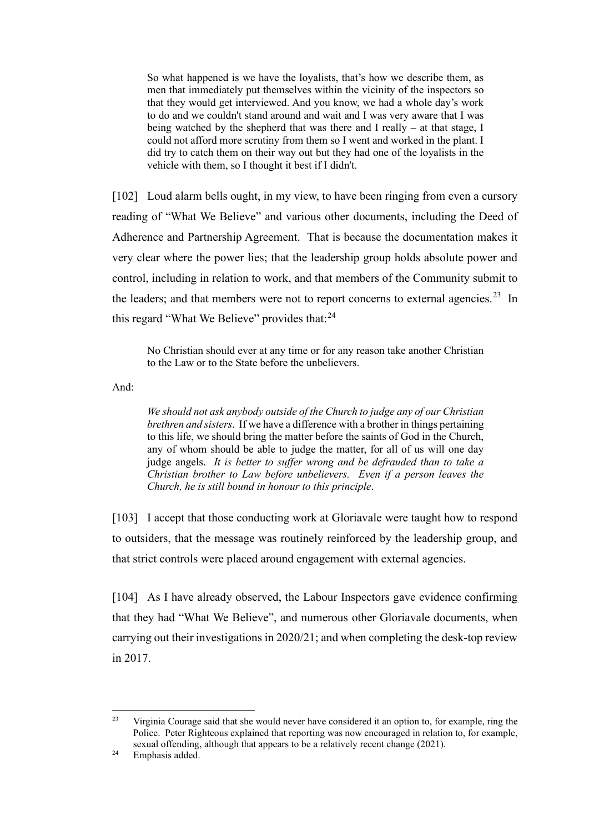So what happened is we have the loyalists, that's how we describe them, as men that immediately put themselves within the vicinity of the inspectors so that they would get interviewed. And you know, we had a whole day's work to do and we couldn't stand around and wait and I was very aware that I was being watched by the shepherd that was there and I really – at that stage, I could not afford more scrutiny from them so I went and worked in the plant. I did try to catch them on their way out but they had one of the loyalists in the vehicle with them, so I thought it best if I didn't.

[102] Loud alarm bells ought, in my view, to have been ringing from even a cursory reading of "What We Believe" and various other documents, including the Deed of Adherence and Partnership Agreement. That is because the documentation makes it very clear where the power lies; that the leadership group holds absolute power and control, including in relation to work, and that members of the Community submit to the leaders; and that members were not to report concerns to external agencies.<sup>23</sup> In this regard "What We Believe" provides that:<sup>[24](#page-28-1)</sup>

No Christian should ever at any time or for any reason take another Christian to the Law or to the State before the unbelievers.

And:

*We should not ask anybody outside of the Church to judge any of our Christian brethren and sisters*. If we have a difference with a brother in things pertaining to this life, we should bring the matter before the saints of God in the Church, any of whom should be able to judge the matter, for all of us will one day judge angels. *It is better to suffer wrong and be defrauded than to take a Christian brother to Law before unbelievers. Even if a person leaves the Church, he is still bound in honour to this principle*.

[103] I accept that those conducting work at Gloriavale were taught how to respond to outsiders, that the message was routinely reinforced by the leadership group, and that strict controls were placed around engagement with external agencies.

[104] As I have already observed, the Labour Inspectors gave evidence confirming that they had "What We Believe", and numerous other Gloriavale documents, when carrying out their investigations in 2020/21; and when completing the desk-top review in 2017.

<span id="page-28-0"></span> $23$  Virginia Courage said that she would never have considered it an option to, for example, ring the Police. Peter Righteous explained that reporting was now encouraged in relation to, for example, sexual offending, although that appears to be a relatively recent change (2021).

<span id="page-28-1"></span><sup>&</sup>lt;sup>24</sup> Emphasis added.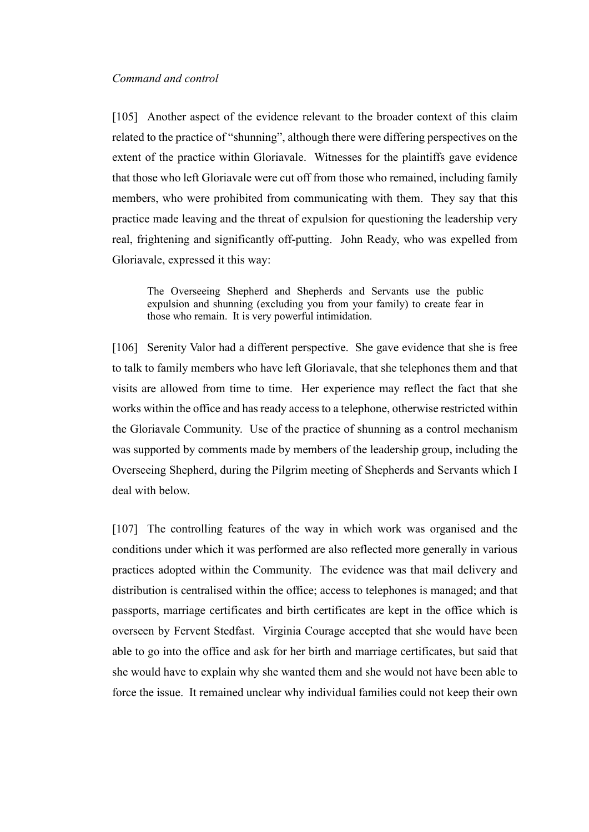#### *Command and control*

[105] Another aspect of the evidence relevant to the broader context of this claim related to the practice of "shunning", although there were differing perspectives on the extent of the practice within Gloriavale. Witnesses for the plaintiffs gave evidence that those who left Gloriavale were cut off from those who remained, including family members, who were prohibited from communicating with them. They say that this practice made leaving and the threat of expulsion for questioning the leadership very real, frightening and significantly off-putting. John Ready, who was expelled from Gloriavale, expressed it this way:

The Overseeing Shepherd and Shepherds and Servants use the public expulsion and shunning (excluding you from your family) to create fear in those who remain. It is very powerful intimidation.

[106] Serenity Valor had a different perspective. She gave evidence that she is free to talk to family members who have left Gloriavale, that she telephones them and that visits are allowed from time to time. Her experience may reflect the fact that she works within the office and has ready access to a telephone, otherwise restricted within the Gloriavale Community. Use of the practice of shunning as a control mechanism was supported by comments made by members of the leadership group, including the Overseeing Shepherd, during the Pilgrim meeting of Shepherds and Servants which I deal with below.

[107] The controlling features of the way in which work was organised and the conditions under which it was performed are also reflected more generally in various practices adopted within the Community. The evidence was that mail delivery and distribution is centralised within the office; access to telephones is managed; and that passports, marriage certificates and birth certificates are kept in the office which is overseen by Fervent Stedfast. Virginia Courage accepted that she would have been able to go into the office and ask for her birth and marriage certificates, but said that she would have to explain why she wanted them and she would not have been able to force the issue. It remained unclear why individual families could not keep their own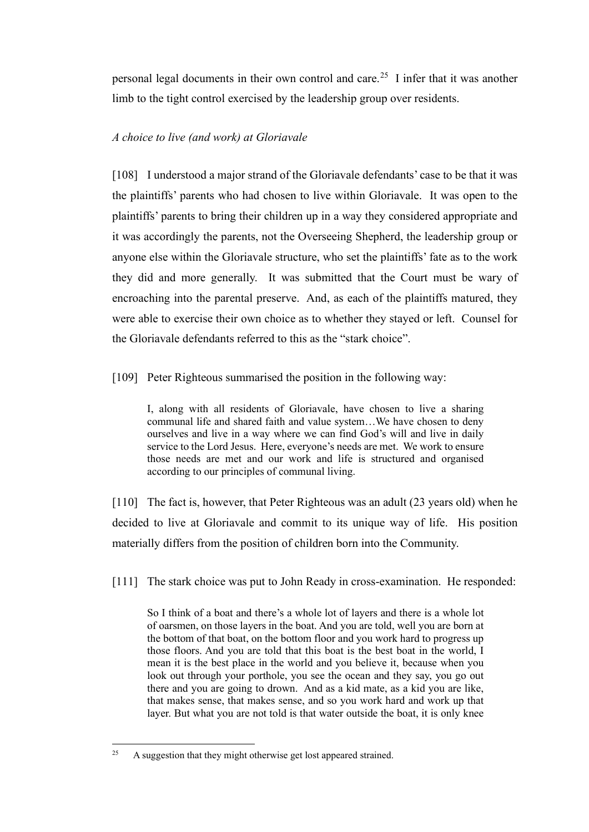personal legal documents in their own control and care.<sup>25</sup> I infer that it was another limb to the tight control exercised by the leadership group over residents.

# *A choice to live (and work) at Gloriavale*

[108] I understood a major strand of the Gloriavale defendants' case to be that it was the plaintiffs' parents who had chosen to live within Gloriavale. It was open to the plaintiffs' parents to bring their children up in a way they considered appropriate and it was accordingly the parents, not the Overseeing Shepherd, the leadership group or anyone else within the Gloriavale structure, who set the plaintiffs' fate as to the work they did and more generally. It was submitted that the Court must be wary of encroaching into the parental preserve. And, as each of the plaintiffs matured, they were able to exercise their own choice as to whether they stayed or left. Counsel for the Gloriavale defendants referred to this as the "stark choice".

[109] Peter Righteous summarised the position in the following way:

I, along with all residents of Gloriavale, have chosen to live a sharing communal life and shared faith and value system…We have chosen to deny ourselves and live in a way where we can find God's will and live in daily service to the Lord Jesus. Here, everyone's needs are met. We work to ensure those needs are met and our work and life is structured and organised according to our principles of communal living.

[110] The fact is, however, that Peter Righteous was an adult (23 years old) when he decided to live at Gloriavale and commit to its unique way of life. His position materially differs from the position of children born into the Community.

[111] The stark choice was put to John Ready in cross-examination. He responded:

So I think of a boat and there's a whole lot of layers and there is a whole lot of oarsmen, on those layers in the boat. And you are told, well you are born at the bottom of that boat, on the bottom floor and you work hard to progress up those floors. And you are told that this boat is the best boat in the world, I mean it is the best place in the world and you believe it, because when you look out through your porthole, you see the ocean and they say, you go out there and you are going to drown. And as a kid mate, as a kid you are like, that makes sense, that makes sense, and so you work hard and work up that layer. But what you are not told is that water outside the boat, it is only knee

<span id="page-30-0"></span><sup>&</sup>lt;sup>25</sup> A suggestion that they might otherwise get lost appeared strained.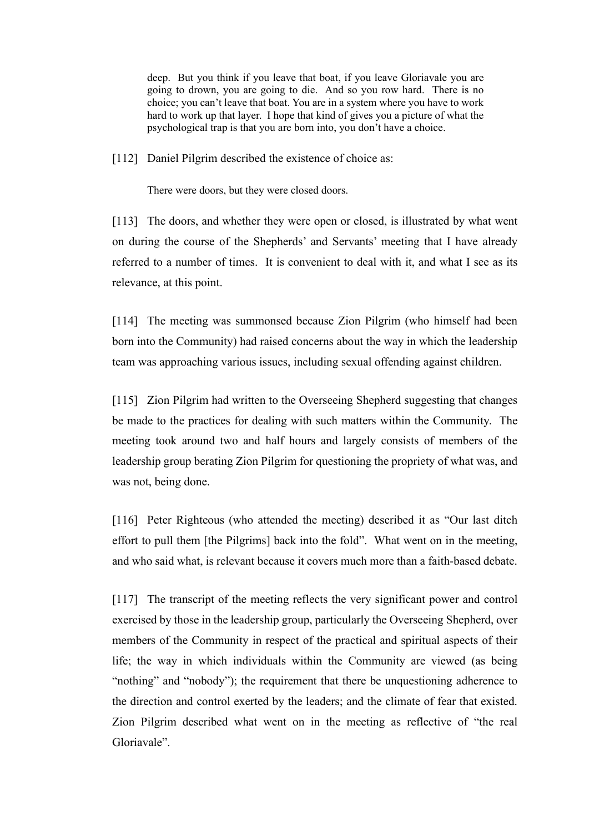deep. But you think if you leave that boat, if you leave Gloriavale you are going to drown, you are going to die. And so you row hard. There is no choice; you can't leave that boat. You are in a system where you have to work hard to work up that layer. I hope that kind of gives you a picture of what the psychological trap is that you are born into, you don't have a choice.

[112] Daniel Pilgrim described the existence of choice as:

There were doors, but they were closed doors.

[113] The doors, and whether they were open or closed, is illustrated by what went on during the course of the Shepherds' and Servants' meeting that I have already referred to a number of times. It is convenient to deal with it, and what I see as its relevance, at this point.

[114] The meeting was summonsed because Zion Pilgrim (who himself had been born into the Community) had raised concerns about the way in which the leadership team was approaching various issues, including sexual offending against children.

[115] Zion Pilgrim had written to the Overseeing Shepherd suggesting that changes be made to the practices for dealing with such matters within the Community. The meeting took around two and half hours and largely consists of members of the leadership group berating Zion Pilgrim for questioning the propriety of what was, and was not, being done.

[116] Peter Righteous (who attended the meeting) described it as "Our last ditch effort to pull them [the Pilgrims] back into the fold". What went on in the meeting, and who said what, is relevant because it covers much more than a faith-based debate.

[117] The transcript of the meeting reflects the very significant power and control exercised by those in the leadership group, particularly the Overseeing Shepherd, over members of the Community in respect of the practical and spiritual aspects of their life; the way in which individuals within the Community are viewed (as being "nothing" and "nobody"); the requirement that there be unquestioning adherence to the direction and control exerted by the leaders; and the climate of fear that existed. Zion Pilgrim described what went on in the meeting as reflective of "the real Gloriavale".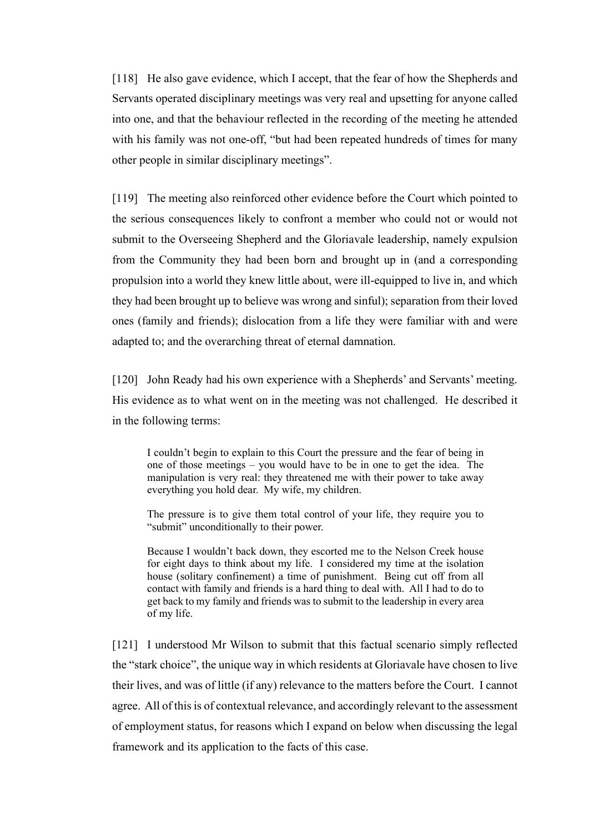[118] He also gave evidence, which I accept, that the fear of how the Shepherds and Servants operated disciplinary meetings was very real and upsetting for anyone called into one, and that the behaviour reflected in the recording of the meeting he attended with his family was not one-off, "but had been repeated hundreds of times for many other people in similar disciplinary meetings".

[119] The meeting also reinforced other evidence before the Court which pointed to the serious consequences likely to confront a member who could not or would not submit to the Overseeing Shepherd and the Gloriavale leadership, namely expulsion from the Community they had been born and brought up in (and a corresponding propulsion into a world they knew little about, were ill-equipped to live in, and which they had been brought up to believe was wrong and sinful); separation from their loved ones (family and friends); dislocation from a life they were familiar with and were adapted to; and the overarching threat of eternal damnation.

[120] John Ready had his own experience with a Shepherds' and Servants' meeting. His evidence as to what went on in the meeting was not challenged. He described it in the following terms:

I couldn't begin to explain to this Court the pressure and the fear of being in one of those meetings – you would have to be in one to get the idea. The manipulation is very real: they threatened me with their power to take away everything you hold dear. My wife, my children.

The pressure is to give them total control of your life, they require you to "submit" unconditionally to their power.

Because I wouldn't back down, they escorted me to the Nelson Creek house for eight days to think about my life. I considered my time at the isolation house (solitary confinement) a time of punishment. Being cut off from all contact with family and friends is a hard thing to deal with. All I had to do to get back to my family and friends was to submit to the leadership in every area of my life.

[121] I understood Mr Wilson to submit that this factual scenario simply reflected the "stark choice", the unique way in which residents at Gloriavale have chosen to live their lives, and was of little (if any) relevance to the matters before the Court. I cannot agree. All of this is of contextual relevance, and accordingly relevant to the assessment of employment status, for reasons which I expand on below when discussing the legal framework and its application to the facts of this case.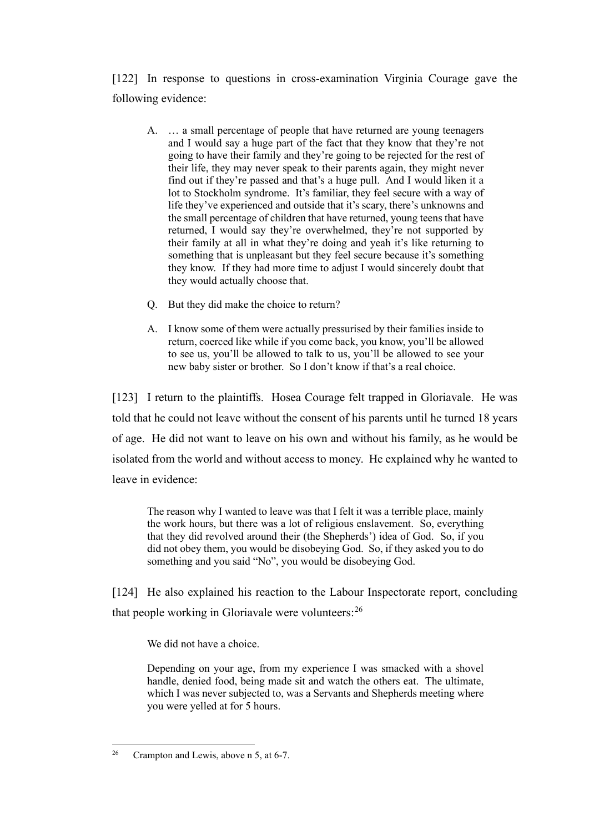[122] In response to questions in cross-examination Virginia Courage gave the following evidence:

- A. … a small percentage of people that have returned are young teenagers and I would say a huge part of the fact that they know that they're not going to have their family and they're going to be rejected for the rest of their life, they may never speak to their parents again, they might never find out if they're passed and that's a huge pull. And I would liken it a lot to Stockholm syndrome. It's familiar, they feel secure with a way of life they've experienced and outside that it's scary, there's unknowns and the small percentage of children that have returned, young teens that have returned, I would say they're overwhelmed, they're not supported by their family at all in what they're doing and yeah it's like returning to something that is unpleasant but they feel secure because it's something they know. If they had more time to adjust I would sincerely doubt that they would actually choose that.
- Q. But they did make the choice to return?
- A. I know some of them were actually pressurised by their families inside to return, coerced like while if you come back, you know, you'll be allowed to see us, you'll be allowed to talk to us, you'll be allowed to see your new baby sister or brother. So I don't know if that's a real choice.

[123] I return to the plaintiffs. Hosea Courage felt trapped in Gloriavale. He was told that he could not leave without the consent of his parents until he turned 18 years of age. He did not want to leave on his own and without his family, as he would be isolated from the world and without access to money. He explained why he wanted to leave in evidence:

The reason why I wanted to leave was that I felt it was a terrible place, mainly the work hours, but there was a lot of religious enslavement. So, everything that they did revolved around their (the Shepherds') idea of God. So, if you did not obey them, you would be disobeying God. So, if they asked you to do something and you said "No", you would be disobeying God.

[124] He also explained his reaction to the Labour Inspectorate report, concluding that people working in Gloriavale were volunteers: $^{26}$  $^{26}$  $^{26}$ 

We did not have a choice.

Depending on your age, from my experience I was smacked with a shovel handle, denied food, being made sit and watch the others eat. The ultimate, which I was never subjected to, was a Servants and Shepherds meeting where you were yelled at for 5 hours.

<span id="page-33-0"></span><sup>&</sup>lt;sup>26</sup> Crampton and Lewis, above n 5, at 6-7.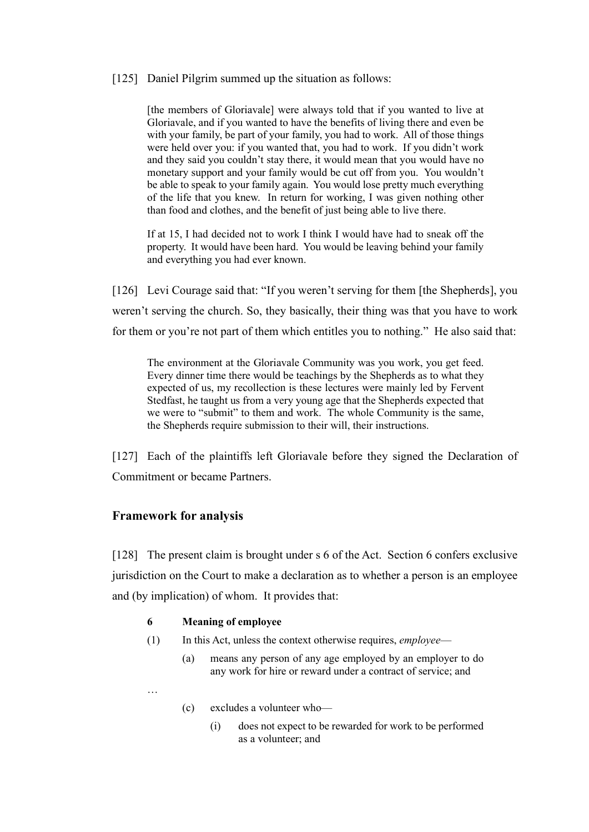## [125] Daniel Pilgrim summed up the situation as follows:

[the members of Gloriavale] were always told that if you wanted to live at Gloriavale, and if you wanted to have the benefits of living there and even be with your family, be part of your family, you had to work. All of those things were held over you: if you wanted that, you had to work. If you didn't work and they said you couldn't stay there, it would mean that you would have no monetary support and your family would be cut off from you. You wouldn't be able to speak to your family again. You would lose pretty much everything of the life that you knew. In return for working, I was given nothing other than food and clothes, and the benefit of just being able to live there.

If at 15, I had decided not to work I think I would have had to sneak off the property. It would have been hard. You would be leaving behind your family and everything you had ever known.

[126] Levi Courage said that: "If you weren't serving for them [the Shepherds], you weren't serving the church. So, they basically, their thing was that you have to work for them or you're not part of them which entitles you to nothing." He also said that:

The environment at the Gloriavale Community was you work, you get feed. Every dinner time there would be teachings by the Shepherds as to what they expected of us, my recollection is these lectures were mainly led by Fervent Stedfast, he taught us from a very young age that the Shepherds expected that we were to "submit" to them and work. The whole Community is the same, the Shepherds require submission to their will, their instructions.

[127] Each of the plaintiffs left Gloriavale before they signed the Declaration of Commitment or became Partners.

## **Framework for analysis**

…

[128] The present claim is brought under s 6 of the Act. Section 6 confers exclusive jurisdiction on the Court to make a declaration as to whether a person is an employee and (by implication) of whom. It provides that:

#### **6 Meaning of employee**

- (1) In this Act, unless the context otherwise requires, *employee*
	- (a) means any person of any age employed by an employer to do any work for hire or reward under a contract of service; and
	- (c) excludes a volunteer who—
		- (i) does not expect to be rewarded for work to be performed as a volunteer; and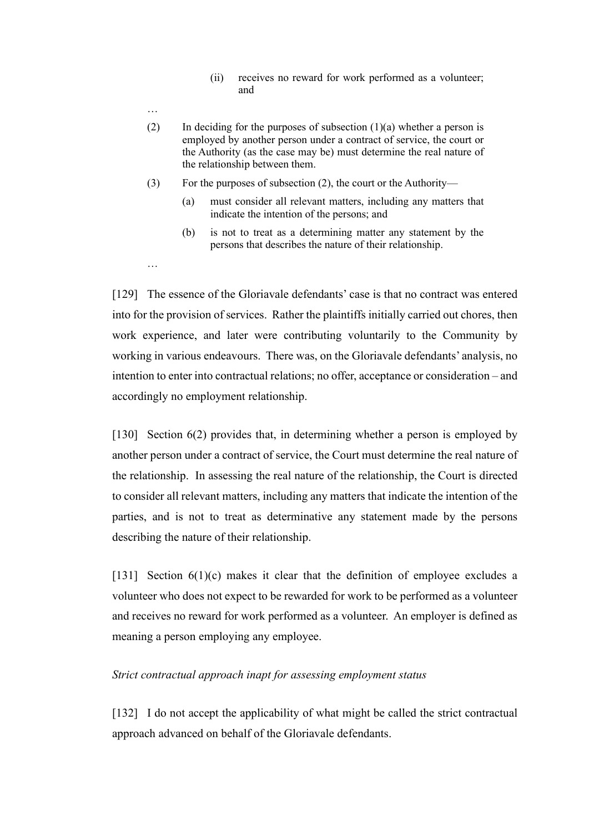- (ii) receives no reward for work performed as a volunteer; and
- (2) In deciding for the purposes of subsection  $(1)(a)$  whether a person is employed by another person under a contract of service, the court or the Authority (as the case may be) must determine the real nature of the relationship between them.
- (3) For the purposes of subsection (2), the court or the Authority—

…

…

- (a) must consider all relevant matters, including any matters that indicate the intention of the persons; and
- (b) is not to treat as a determining matter any statement by the persons that describes the nature of their relationship.

[129] The essence of the Gloriavale defendants' case is that no contract was entered into for the provision of services. Rather the plaintiffs initially carried out chores, then work experience, and later were contributing voluntarily to the Community by working in various endeavours. There was, on the Gloriavale defendants' analysis, no intention to enter into contractual relations; no offer, acceptance or consideration – and accordingly no employment relationship.

[130] Section 6(2) provides that, in determining whether a person is employed by another person under a contract of service, the Court must determine the real nature of the relationship. In assessing the real nature of the relationship, the Court is directed to consider all relevant matters, including any matters that indicate the intention of the parties, and is not to treat as determinative any statement made by the persons describing the nature of their relationship.

[131] Section  $6(1)(c)$  makes it clear that the definition of employee excludes a volunteer who does not expect to be rewarded for work to be performed as a volunteer and receives no reward for work performed as a volunteer. An employer is defined as meaning a person employing any employee.

### *Strict contractual approach inapt for assessing employment status*

[132] I do not accept the applicability of what might be called the strict contractual approach advanced on behalf of the Gloriavale defendants.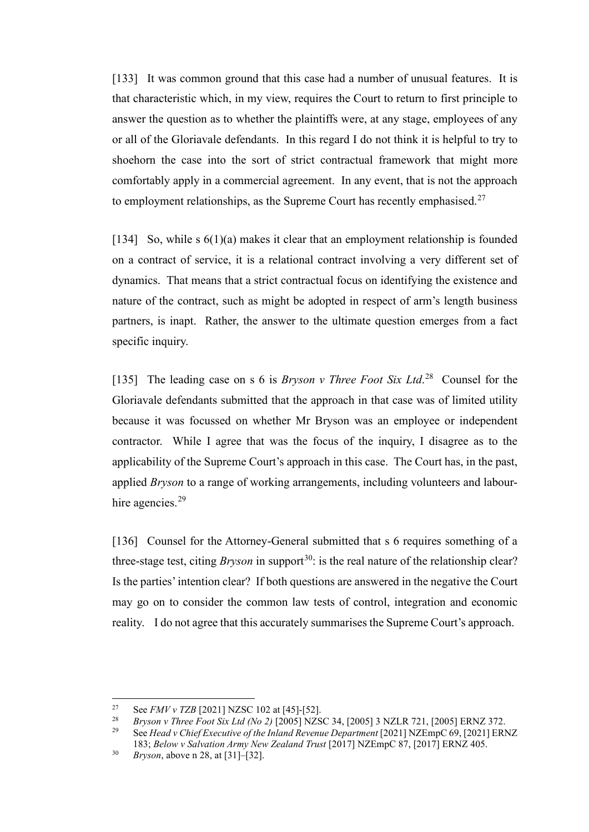[133] It was common ground that this case had a number of unusual features. It is that characteristic which, in my view, requires the Court to return to first principle to answer the question as to whether the plaintiffs were, at any stage, employees of any or all of the Gloriavale defendants. In this regard I do not think it is helpful to try to shoehorn the case into the sort of strict contractual framework that might more comfortably apply in a commercial agreement. In any event, that is not the approach to employment relationships, as the Supreme Court has recently emphasised.<sup>[27](#page-36-0)</sup>

[134] So, while s  $6(1)(a)$  makes it clear that an employment relationship is founded on a contract of service, it is a relational contract involving a very different set of dynamics. That means that a strict contractual focus on identifying the existence and nature of the contract, such as might be adopted in respect of arm's length business partners, is inapt. Rather, the answer to the ultimate question emerges from a fact specific inquiry.

[135] The leading case on s 6 is *Bryson v Three Foot Six Ltd*. [28](#page-36-1) Counsel for the Gloriavale defendants submitted that the approach in that case was of limited utility because it was focussed on whether Mr Bryson was an employee or independent contractor. While I agree that was the focus of the inquiry, I disagree as to the applicability of the Supreme Court's approach in this case. The Court has, in the past, applied *Bryson* to a range of working arrangements, including volunteers and labour-hire agencies.<sup>[29](#page-36-2)</sup>

[136] Counsel for the Attorney-General submitted that s 6 requires something of a three-stage test, citing *Bryson* in support<sup>30</sup>: is the real nature of the relationship clear? Is the parties' intention clear? If both questions are answered in the negative the Court may go on to consider the common law tests of control, integration and economic reality. I do not agree that this accurately summarises the Supreme Court's approach.

<span id="page-36-0"></span><sup>&</sup>lt;sup>27</sup> See *FMV v TZB* [2021] NZSC 102 at [45]-[52].

<span id="page-36-2"></span><span id="page-36-1"></span><sup>&</sup>lt;sup>28</sup> *Bryson v Three Foot Six Ltd (No 2)* [2005] NZSC 34, [2005] 3 NZLR 721, [2005] ERNZ 372.<br><sup>29</sup> See Head y Chief Executive of the Juland Beyanue Department [2021] NZEmpC 69, [2021] ERN

<sup>29</sup> See *Head v Chief Executive of the Inland Revenue Department* [2021] NZEmpC 69, [2021] ERNZ 183; *Below v Salvation Army New Zealand Trust* [2017] NZEmpC 87, [2017] ERNZ 405.

<span id="page-36-3"></span><sup>30</sup> *Bryson*, above n 28, at [31]–[32].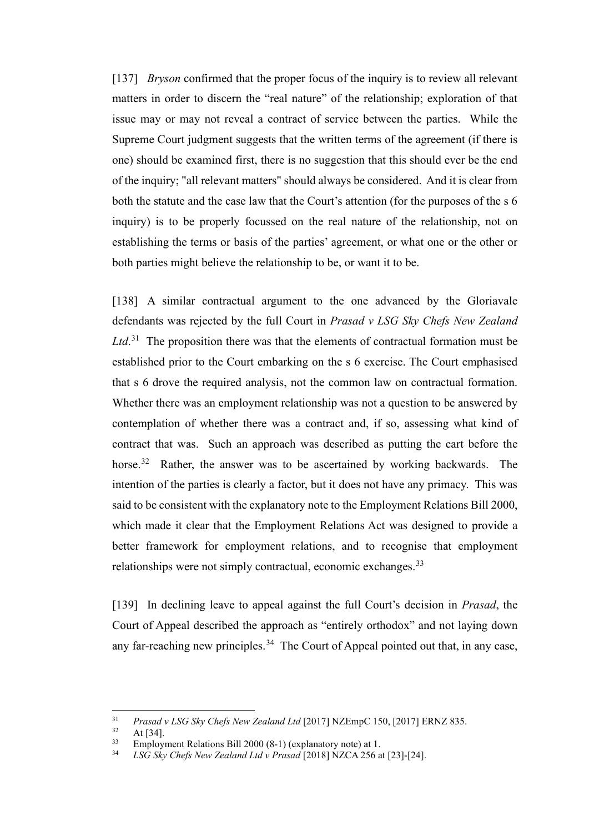[137] *Bryson* confirmed that the proper focus of the inquiry is to review all relevant matters in order to discern the "real nature" of the relationship; exploration of that issue may or may not reveal a contract of service between the parties. While the Supreme Court judgment suggests that the written terms of the agreement (if there is one) should be examined first, there is no suggestion that this should ever be the end of the inquiry; "all relevant matters" should always be considered. And it is clear from both the statute and the case law that the Court's attention (for the purposes of the s 6 inquiry) is to be properly focussed on the real nature of the relationship, not on establishing the terms or basis of the parties' agreement, or what one or the other or both parties might believe the relationship to be, or want it to be.

[138] A similar contractual argument to the one advanced by the Gloriavale defendants was rejected by the full Court in *Prasad v LSG Sky Chefs New Zealand*  Ltd.<sup>[31](#page-37-0)</sup> The proposition there was that the elements of contractual formation must be established prior to the Court embarking on the s 6 exercise. The Court emphasised that s 6 drove the required analysis, not the common law on contractual formation. Whether there was an employment relationship was not a question to be answered by contemplation of whether there was a contract and, if so, assessing what kind of contract that was. Such an approach was described as putting the cart before the horse.<sup>[32](#page-37-1)</sup> Rather, the answer was to be ascertained by working backwards. The intention of the parties is clearly a factor, but it does not have any primacy. This was said to be consistent with the explanatory note to the Employment Relations Bill 2000, which made it clear that the Employment Relations Act was designed to provide a better framework for employment relations, and to recognise that employment relationships were not simply contractual, economic exchanges.<sup>[33](#page-37-2)</sup>

[139] In declining leave to appeal against the full Court's decision in *Prasad*, the Court of Appeal described the approach as "entirely orthodox" and not laying down any far-reaching new principles.<sup>[34](#page-37-3)</sup> The Court of Appeal pointed out that, in any case,

<span id="page-37-1"></span><span id="page-37-0"></span><sup>&</sup>lt;sup>31</sup> *Prasad v LSG Sky Chefs New Zealand Ltd* [2017] NZEmpC 150, [2017] ERNZ 835.<br><sup>32</sup> At [34]

 $32 \text{ At } [34].$ <br> $33 \text{ Emplay}$ 

<span id="page-37-3"></span><span id="page-37-2"></span><sup>&</sup>lt;sup>33</sup> Employment Relations Bill 2000 (8-1) (explanatory note) at 1.<br><sup>34</sup> I SG Slov Chafe Nav Zealand Ltd.y Prasad [2018] NZCA 256 a

<sup>34</sup> *LSG Sky Chefs New Zealand Ltd v Prasad* [2018] NZCA 256 at [23]-[24].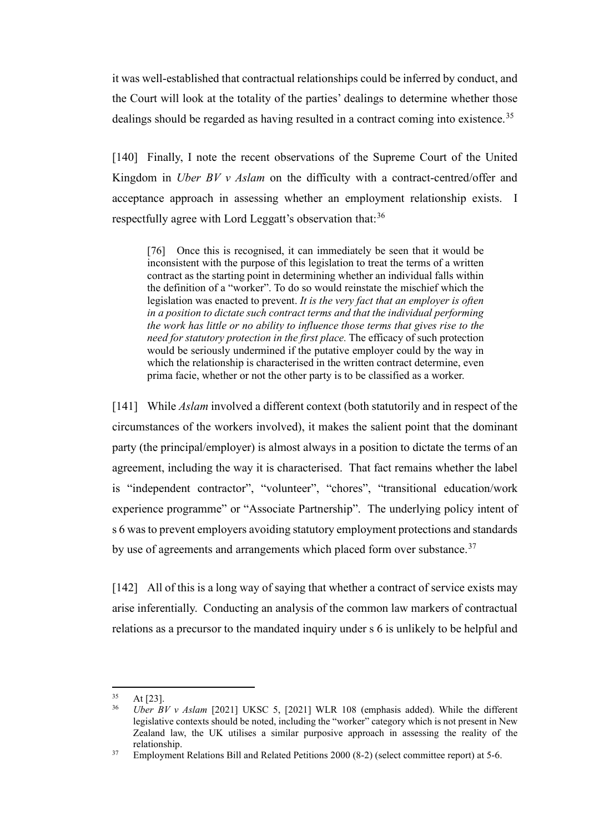it was well-established that contractual relationships could be inferred by conduct, and the Court will look at the totality of the parties' dealings to determine whether those dealings should be regarded as having resulted in a contract coming into existence.<sup>35</sup>

[140] Finally, I note the recent observations of the Supreme Court of the United Kingdom in *Uber BV v Aslam* on the difficulty with a contract-centred/offer and acceptance approach in assessing whether an employment relationship exists. I respectfully agree with Lord Leggatt's observation that:<sup>[36](#page-38-1)</sup>

[76] Once this is recognised, it can immediately be seen that it would be inconsistent with the purpose of this legislation to treat the terms of a written contract as the starting point in determining whether an individual falls within the definition of a "worker". To do so would reinstate the mischief which the legislation was enacted to prevent. *It is the very fact that an employer is often in a position to dictate such contract terms and that the individual performing the work has little or no ability to influence those terms that gives rise to the need for statutory protection in the first place.* The efficacy of such protection would be seriously undermined if the putative employer could by the way in which the relationship is characterised in the written contract determine, even prima facie, whether or not the other party is to be classified as a worker.

[141] While *Aslam* involved a different context (both statutorily and in respect of the circumstances of the workers involved), it makes the salient point that the dominant party (the principal/employer) is almost always in a position to dictate the terms of an agreement, including the way it is characterised. That fact remains whether the label is "independent contractor", "volunteer", "chores", "transitional education/work experience programme" or "Associate Partnership". The underlying policy intent of s 6 was to prevent employers avoiding statutory employment protections and standards by use of agreements and arrangements which placed form over substance.<sup>[37](#page-38-2)</sup>

[142] All of this is a long way of saying that whether a contract of service exists may arise inferentially. Conducting an analysis of the common law markers of contractual relations as a precursor to the mandated inquiry under s 6 is unlikely to be helpful and

<span id="page-38-1"></span><span id="page-38-0"></span><sup>35</sup> At [23]. 36 *Uber BV v Aslam* [2021] UKSC 5, [2021] WLR 108 (emphasis added). While the different legislative contexts should be noted, including the "worker" category which is not present in New Zealand law, the UK utilises a similar purposive approach in assessing the reality of the relationship.

<span id="page-38-2"></span><sup>&</sup>lt;sup>37</sup> Employment Relations Bill and Related Petitions 2000 (8-2) (select committee report) at 5-6.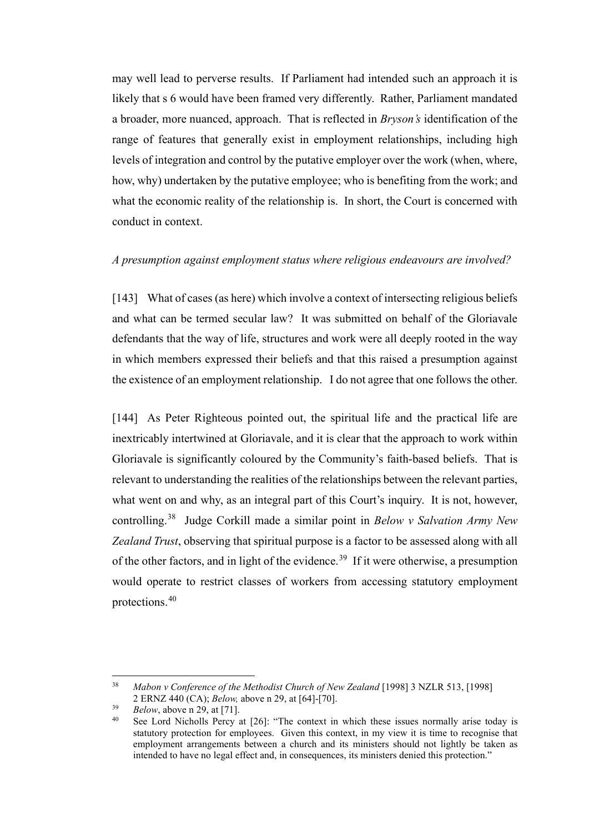may well lead to perverse results. If Parliament had intended such an approach it is likely that s 6 would have been framed very differently. Rather, Parliament mandated a broader, more nuanced, approach. That is reflected in *Bryson's* identification of the range of features that generally exist in employment relationships, including high levels of integration and control by the putative employer over the work (when, where, how, why) undertaken by the putative employee; who is benefiting from the work; and what the economic reality of the relationship is. In short, the Court is concerned with conduct in context.

### *A presumption against employment status where religious endeavours are involved?*

[143] What of cases (as here) which involve a context of intersecting religious beliefs and what can be termed secular law? It was submitted on behalf of the Gloriavale defendants that the way of life, structures and work were all deeply rooted in the way in which members expressed their beliefs and that this raised a presumption against the existence of an employment relationship. I do not agree that one follows the other.

[144] As Peter Righteous pointed out, the spiritual life and the practical life are inextricably intertwined at Gloriavale, and it is clear that the approach to work within Gloriavale is significantly coloured by the Community's faith-based beliefs. That is relevant to understanding the realities of the relationships between the relevant parties, what went on and why, as an integral part of this Court's inquiry. It is not, however, controlling.[38](#page-39-0) Judge Corkill made a similar point in *Below v Salvation Army New Zealand Trust*, observing that spiritual purpose is a factor to be assessed along with all of the other factors, and in light of the evidence.<sup>[39](#page-39-1)</sup> If it were otherwise, a presumption would operate to restrict classes of workers from accessing statutory employment protections.[40](#page-39-2)

<span id="page-39-0"></span><sup>38</sup> *Mabon v Conference of the Methodist Church of New Zealand* [1998] 3 NZLR 513, [1998] 2 ERNZ 440 (CA); *Below,* above n 29, at [64]-[70].

<span id="page-39-2"></span><span id="page-39-1"></span> $Below$ , above n 29, at [71].

See Lord Nicholls Percy at [26]: "The context in which these issues normally arise today is statutory protection for employees. Given this context, in my view it is time to recognise that employment arrangements between a church and its ministers should not lightly be taken as intended to have no legal effect and, in consequences, its ministers denied this protection."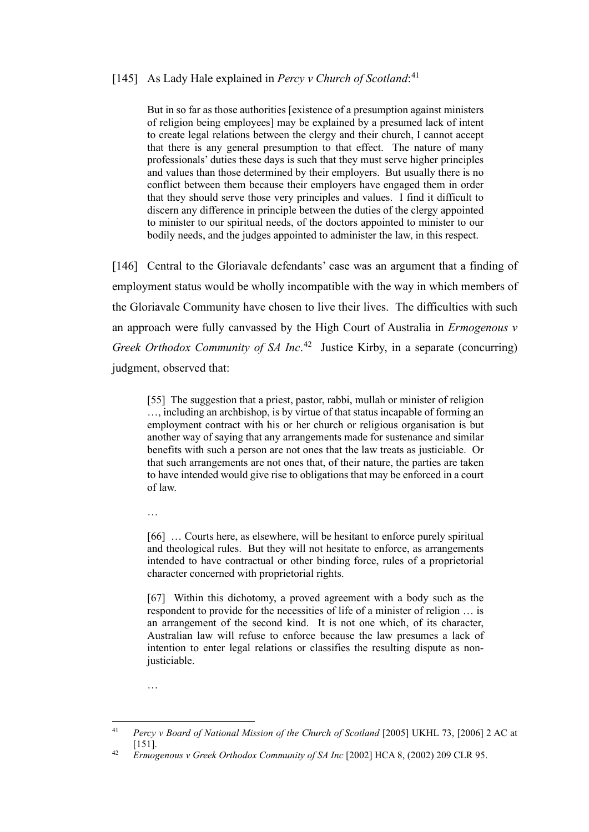# [145] As Lady Hale explained in *Percy v Church of Scotland*:<sup>[41](#page-40-0)</sup>

But in so far as those authorities [existence of a presumption against ministers of religion being employees] may be explained by a presumed lack of intent to create legal relations between the clergy and their church, I cannot accept that there is any general presumption to that effect. The nature of many professionals' duties these days is such that they must serve higher principles and values than those determined by their employers. But usually there is no conflict between them because their employers have engaged them in order that they should serve those very principles and values. I find it difficult to discern any difference in principle between the duties of the clergy appointed to minister to our spiritual needs, of the doctors appointed to minister to our bodily needs, and the judges appointed to administer the law, in this respect.

[146] Central to the Gloriavale defendants' case was an argument that a finding of employment status would be wholly incompatible with the way in which members of the Gloriavale Community have chosen to live their lives. The difficulties with such an approach were fully canvassed by the High Court of Australia in *Ermogenous v Greek Orthodox Community of SA Inc.*<sup>[42](#page-40-1)</sup> Justice Kirby, in a separate (concurring) judgment, observed that:

[55] The suggestion that a priest, pastor, rabbi, mullah or minister of religion …, including an archbishop, is by virtue of that status incapable of forming an employment contract with his or her church or religious organisation is but another way of saying that any arrangements made for sustenance and similar benefits with such a person are not ones that the law treats as justiciable. Or that such arrangements are not ones that, of their nature, the parties are taken to have intended would give rise to obligations that may be enforced in a court of law.

…

[66] ... Courts here, as elsewhere, will be hesitant to enforce purely spiritual and theological rules. But they will not hesitate to enforce, as arrangements intended to have contractual or other binding force, rules of a proprietorial character concerned with proprietorial rights.

[67] Within this dichotomy, a proved agreement with a body such as the respondent to provide for the necessities of life of a minister of religion … is an arrangement of the second kind. It is not one which, of its character, Australian law will refuse to enforce because the law presumes a lack of intention to enter legal relations or classifies the resulting dispute as nonjusticiable.

…

<span id="page-40-0"></span><sup>&</sup>lt;sup>41</sup> *Percy v Board of National Mission of the Church of Scotland* [2005] UKHL 73, [2006] 2 AC at [151].

<span id="page-40-1"></span><sup>42</sup> *Ermogenous v Greek Orthodox Community of SA Inc* [2002] HCA 8, (2002) 209 CLR 95.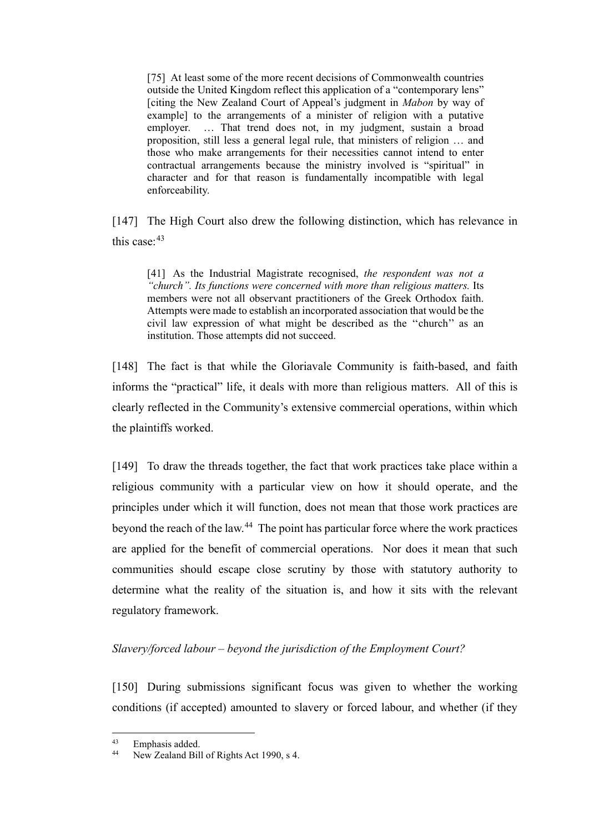[75] At least some of the more recent decisions of Commonwealth countries outside the United Kingdom reflect this application of a "contemporary lens" [citing the New Zealand Court of Appeal's judgment in *Mabon* by way of example] to the arrangements of a minister of religion with a putative employer. … That trend does not, in my judgment, sustain a broad proposition, still less a general legal rule, that ministers of religion … and those who make arrangements for their necessities cannot intend to enter contractual arrangements because the ministry involved is "spiritual" in character and for that reason is fundamentally incompatible with legal enforceability.

[147] The High Court also drew the following distinction, which has relevance in this case:<sup>[43](#page-41-0)</sup>

[41] As the Industrial Magistrate recognised, *the respondent was not a ''church''. Its functions were concerned with more than religious matters.* Its members were not all observant practitioners of the Greek Orthodox faith. Attempts were made to establish an incorporated association that would be the civil law expression of what might be described as the ''church'' as an institution. Those attempts did not succeed.

[148] The fact is that while the Gloriavale Community is faith-based, and faith informs the "practical" life, it deals with more than religious matters. All of this is clearly reflected in the Community's extensive commercial operations, within which the plaintiffs worked.

[149] To draw the threads together, the fact that work practices take place within a religious community with a particular view on how it should operate, and the principles under which it will function, does not mean that those work practices are beyond the reach of the law.<sup>[44](#page-41-1)</sup> The point has particular force where the work practices are applied for the benefit of commercial operations. Nor does it mean that such communities should escape close scrutiny by those with statutory authority to determine what the reality of the situation is, and how it sits with the relevant regulatory framework.

## *Slavery/forced labour – beyond the jurisdiction of the Employment Court?*

[150] During submissions significant focus was given to whether the working conditions (if accepted) amounted to slavery or forced labour, and whether (if they

<span id="page-41-1"></span><span id="page-41-0"></span> $^{43}$  Emphasis added.

New Zealand Bill of Rights Act 1990, s 4.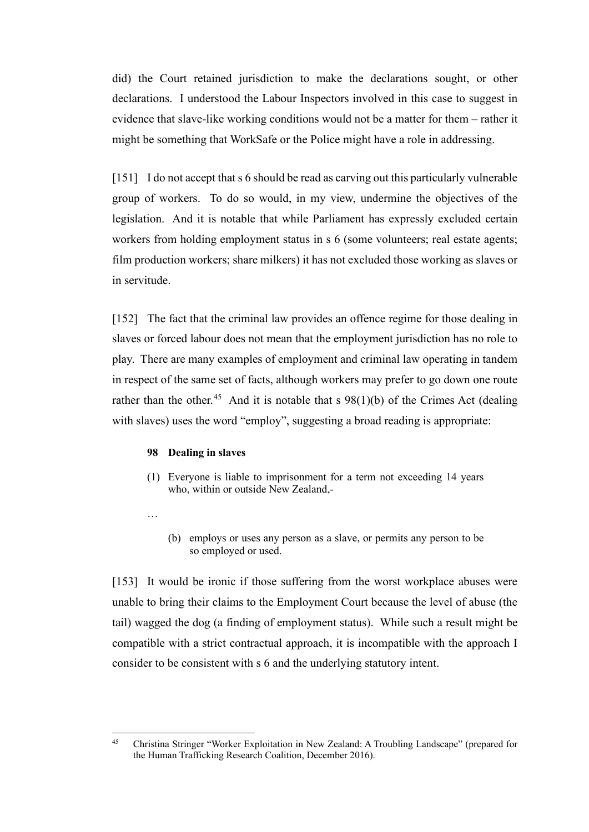did) the Court retained jurisdiction to make the declarations sought, or other declarations. I understood the Labour Inspectors involved in this case to suggest in evidence that slave-like working conditions would not be a matter for them – rather it might be something that WorkSafe or the Police might have a role in addressing.

[151] I do not accept that s 6 should be read as carving out this particularly vulnerable group of workers. To do so would, in my view, undermine the objectives of the legislation. And it is notable that while Parliament has expressly excluded certain workers from holding employment status in s 6 (some volunteers; real estate agents; film production workers; share milkers) it has not excluded those working as slaves or in servitude.

[152] The fact that the criminal law provides an offence regime for those dealing in slaves or forced labour does not mean that the employment jurisdiction has no role to play. There are many examples of employment and criminal law operating in tandem in respect of the same set of facts, although workers may prefer to go down one route rather than the other.<sup>[45](#page-42-0)</sup> And it is notable that s  $98(1)(b)$  of the Crimes Act (dealing with slaves) uses the word "employ", suggesting a broad reading is appropriate:

#### **98 Dealing in slaves**

- (1) Everyone is liable to imprisonment for a term not exceeding 14 years who, within or outside New Zealand,-
- …
- (b) employs or uses any person as a slave, or permits any person to be so employed or used.

[153] It would be ironic if those suffering from the worst workplace abuses were unable to bring their claims to the Employment Court because the level of abuse (the tail) wagged the dog (a finding of employment status). While such a result might be compatible with a strict contractual approach, it is incompatible with the approach I consider to be consistent with s 6 and the underlying statutory intent.

<span id="page-42-0"></span><sup>45</sup> Christina Stringer "Worker Exploitation in New Zealand: A Troubling Landscape" (prepared for the Human Trafficking Research Coalition, December 2016).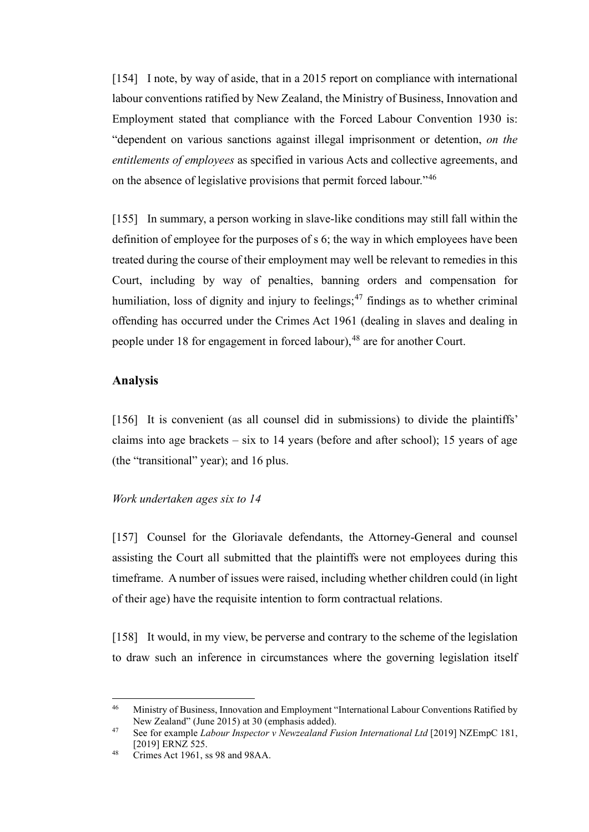[154] I note, by way of aside, that in a 2015 report on compliance with international labour conventions ratified by New Zealand, the Ministry of Business, Innovation and Employment stated that compliance with the Forced Labour Convention 1930 is: "dependent on various sanctions against illegal imprisonment or detention, *on the entitlements of employees* as specified in various Acts and collective agreements, and on the absence of legislative provisions that permit forced labour."[46](#page-43-0)

[155] In summary, a person working in slave-like conditions may still fall within the definition of employee for the purposes of s 6; the way in which employees have been treated during the course of their employment may well be relevant to remedies in this Court, including by way of penalties, banning orders and compensation for humiliation, loss of dignity and injury to feelings;<sup>[47](#page-43-1)</sup> findings as to whether criminal offending has occurred under the Crimes Act 1961 (dealing in slaves and dealing in people under 18 for engagement in forced labour), <sup>[48](#page-43-2)</sup> are for another Court.

## **Analysis**

[156] It is convenient (as all counsel did in submissions) to divide the plaintiffs' claims into age brackets – six to 14 years (before and after school); 15 years of age (the "transitional" year); and 16 plus.

#### *Work undertaken ages six to 14*

[157] Counsel for the Gloriavale defendants, the Attorney-General and counsel assisting the Court all submitted that the plaintiffs were not employees during this timeframe. A number of issues were raised, including whether children could (in light of their age) have the requisite intention to form contractual relations.

[158] It would, in my view, be perverse and contrary to the scheme of the legislation to draw such an inference in circumstances where the governing legislation itself

<span id="page-43-0"></span><sup>&</sup>lt;sup>46</sup> Ministry of Business, Innovation and Employment "International Labour Conventions Ratified by New Zealand" (June 2015) at 30 (emphasis added).

<span id="page-43-1"></span><sup>47</sup> See for example *Labour Inspector v Newzealand Fusion International Ltd* [2019] NZEmpC 181, [2019] ERNZ 525.

<span id="page-43-2"></span><sup>48</sup> Crimes Act 1961, ss 98 and 98AA.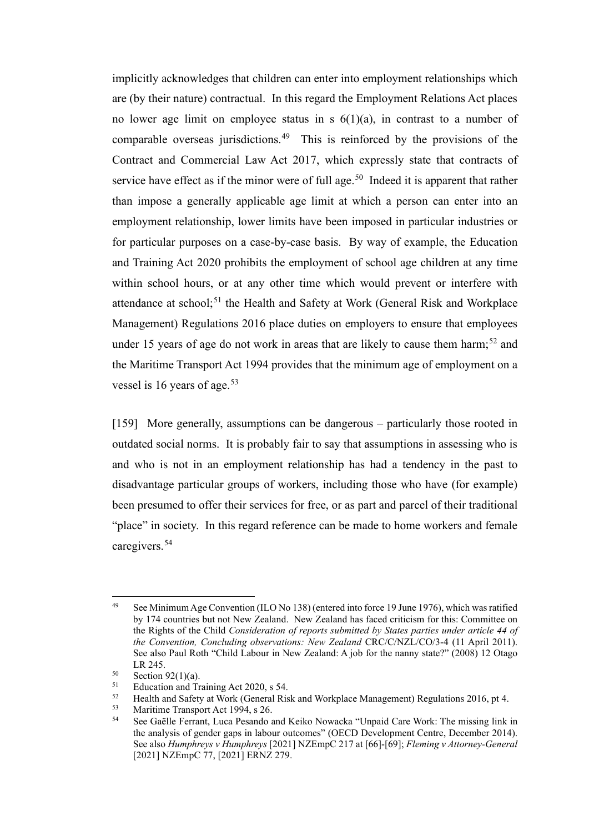implicitly acknowledges that children can enter into employment relationships which are (by their nature) contractual. In this regard the Employment Relations Act places no lower age limit on employee status in s  $6(1)(a)$ , in contrast to a number of comparable overseas jurisdictions.<sup>[49](#page-44-0)</sup> This is reinforced by the provisions of the Contract and Commercial Law Act 2017, which expressly state that contracts of service have effect as if the minor were of full age.<sup>[50](#page-44-1)</sup> Indeed it is apparent that rather than impose a generally applicable age limit at which a person can enter into an employment relationship, lower limits have been imposed in particular industries or for particular purposes on a case-by-case basis. By way of example, the Education and Training Act 2020 prohibits the employment of school age children at any time within school hours, or at any other time which would prevent or interfere with attendance at school;<sup>[51](#page-44-2)</sup> the Health and Safety at Work (General Risk and Workplace Management) Regulations 2016 place duties on employers to ensure that employees under 15 years of age do not work in areas that are likely to cause them harm;<sup>[52](#page-44-3)</sup> and the Maritime Transport Act 1994 provides that the minimum age of employment on a vessel is 16 years of age.<sup>[53](#page-44-4)</sup>

[159] More generally, assumptions can be dangerous – particularly those rooted in outdated social norms. It is probably fair to say that assumptions in assessing who is and who is not in an employment relationship has had a tendency in the past to disadvantage particular groups of workers, including those who have (for example) been presumed to offer their services for free, or as part and parcel of their traditional "place" in society. In this regard reference can be made to home workers and female caregivers.[54](#page-44-5)

<span id="page-44-0"></span><sup>49</sup> See Minimum Age Convention (ILO No 138) (entered into force 19 June 1976), which was ratified by 174 countries but not New Zealand. New Zealand has faced criticism for this: Committee on the Rights of the Child *Consideration of reports submitted by States parties under article 44 of the Convention, Concluding observations: New Zealand* CRC/C/NZL/CO/3-4 (11 April 2011). See also Paul Roth "Child Labour in New Zealand: A job for the nanny state?" (2008) 12 Otago LR 245.

<span id="page-44-1"></span><sup>&</sup>lt;sup>50</sup> Section 92(1)(a).<br> $51$  Education and Tr

<span id="page-44-2"></span> $51$  Education and Training Act 2020, s 54.<br> $52$  Health and Safety at Work (General Ris

<span id="page-44-3"></span><sup>&</sup>lt;sup>52</sup> Health and Safety at Work (General Risk and Workplace Management) Regulations 2016, pt 4.<br><sup>53</sup> Maritima Transport Act 1994, s 26

<span id="page-44-5"></span><span id="page-44-4"></span><sup>&</sup>lt;sup>53</sup> Maritime Transport Act 1994, s 26.<br><sup>54</sup> See Goëlle Ferrent, Luce Besands a

<sup>54</sup> See Gaëlle Ferrant, Luca Pesando and Keiko Nowacka "Unpaid Care Work: The missing link in the analysis of gender gaps in labour outcomes" (OECD Development Centre, December 2014). See also *Humphreys v Humphreys* [2021] NZEmpC 217 at [66]-[69]; *Fleming v Attorney-General* [2021] NZEmpC 77, [2021] ERNZ 279.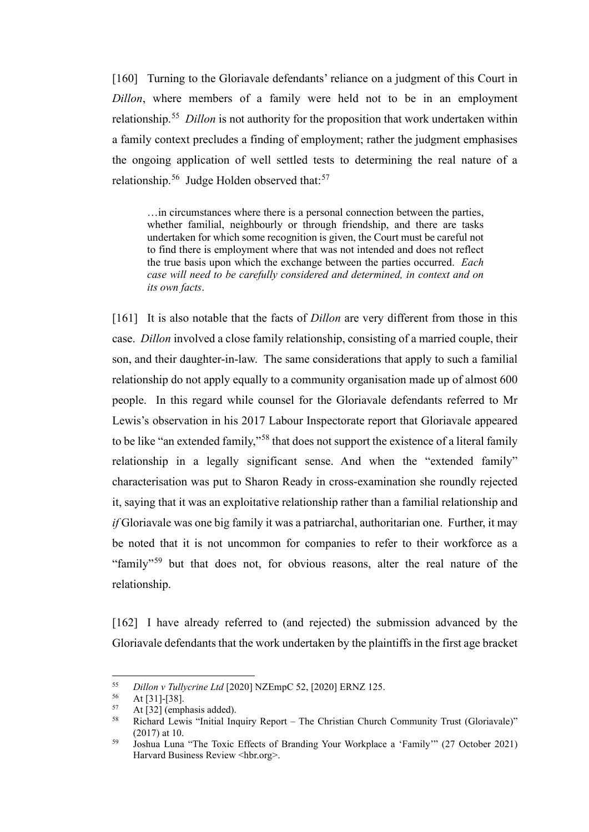[160] Turning to the Gloriavale defendants' reliance on a judgment of this Court in *Dillon*, where members of a family were held not to be in an employment relationship.[55](#page-45-0) *Dillon* is not authority for the proposition that work undertaken within a family context precludes a finding of employment; rather the judgment emphasises the ongoing application of well settled tests to determining the real nature of a relationship.<sup>56</sup> Judge Holden observed that:<sup>[57](#page-45-2)</sup>

…in circumstances where there is a personal connection between the parties, whether familial, neighbourly or through friendship, and there are tasks undertaken for which some recognition is given, the Court must be careful not to find there is employment where that was not intended and does not reflect the true basis upon which the exchange between the parties occurred. *Each case will need to be carefully considered and determined, in context and on its own facts*.

[161] It is also notable that the facts of *Dillon* are very different from those in this case. *Dillon* involved a close family relationship, consisting of a married couple, their son, and their daughter-in-law. The same considerations that apply to such a familial relationship do not apply equally to a community organisation made up of almost 600 people. In this regard while counsel for the Gloriavale defendants referred to Mr Lewis's observation in his 2017 Labour Inspectorate report that Gloriavale appeared to be like "an extended family,"[58](#page-45-3) that does not support the existence of a literal family relationship in a legally significant sense. And when the "extended family" characterisation was put to Sharon Ready in cross-examination she roundly rejected it, saying that it was an exploitative relationship rather than a familial relationship and *if* Gloriavale was one big family it was a patriarchal, authoritarian one.Further, it may be noted that it is not uncommon for companies to refer to their workforce as a "family"<sup>[59](#page-45-4)</sup> but that does not, for obvious reasons, alter the real nature of the relationship.

[162] I have already referred to (and rejected) the submission advanced by the Gloriavale defendants that the work undertaken by the plaintiffs in the first age bracket

<span id="page-45-0"></span><sup>55</sup> *Dillon v Tullycrine Ltd* [2020] NZEmpC 52, [2020] ERNZ 125.

 $56$  At [31]-[38].

<span id="page-45-3"></span><span id="page-45-2"></span><span id="page-45-1"></span> $58$  At [32] (emphasis added).

<sup>58</sup> Richard Lewis "Initial Inquiry Report – The Christian Church Community Trust (Gloriavale)" (2017) at 10.

<span id="page-45-4"></span><sup>59</sup> Joshua Luna "The Toxic Effects of Branding Your Workplace a 'Family'" (27 October 2021) Harvard Business Review <hbr.org>.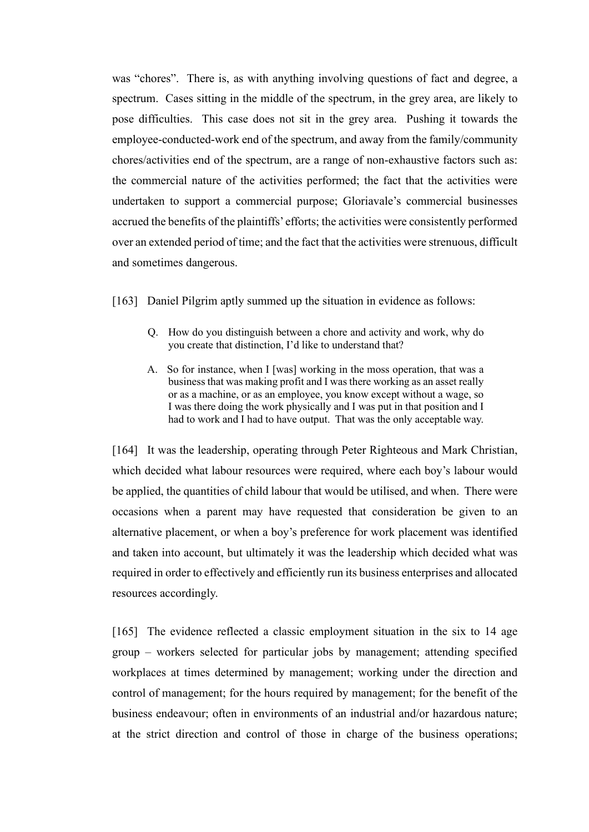was "chores". There is, as with anything involving questions of fact and degree, a spectrum. Cases sitting in the middle of the spectrum, in the grey area, are likely to pose difficulties. This case does not sit in the grey area. Pushing it towards the employee-conducted-work end of the spectrum, and away from the family/community chores/activities end of the spectrum, are a range of non-exhaustive factors such as: the commercial nature of the activities performed; the fact that the activities were undertaken to support a commercial purpose; Gloriavale's commercial businesses accrued the benefits of the plaintiffs' efforts; the activities were consistently performed over an extended period of time; and the fact that the activities were strenuous, difficult and sometimes dangerous.

- [163] Daniel Pilgrim aptly summed up the situation in evidence as follows:
	- Q. How do you distinguish between a chore and activity and work, why do you create that distinction, I'd like to understand that?
	- A. So for instance, when I [was] working in the moss operation, that was a business that was making profit and I was there working as an asset really or as a machine, or as an employee, you know except without a wage, so I was there doing the work physically and I was put in that position and I had to work and I had to have output. That was the only acceptable way.

[164] It was the leadership, operating through Peter Righteous and Mark Christian, which decided what labour resources were required, where each boy's labour would be applied, the quantities of child labour that would be utilised, and when. There were occasions when a parent may have requested that consideration be given to an alternative placement, or when a boy's preference for work placement was identified and taken into account, but ultimately it was the leadership which decided what was required in order to effectively and efficiently run its business enterprises and allocated resources accordingly.

[165] The evidence reflected a classic employment situation in the six to 14 age group – workers selected for particular jobs by management; attending specified workplaces at times determined by management; working under the direction and control of management; for the hours required by management; for the benefit of the business endeavour; often in environments of an industrial and/or hazardous nature; at the strict direction and control of those in charge of the business operations;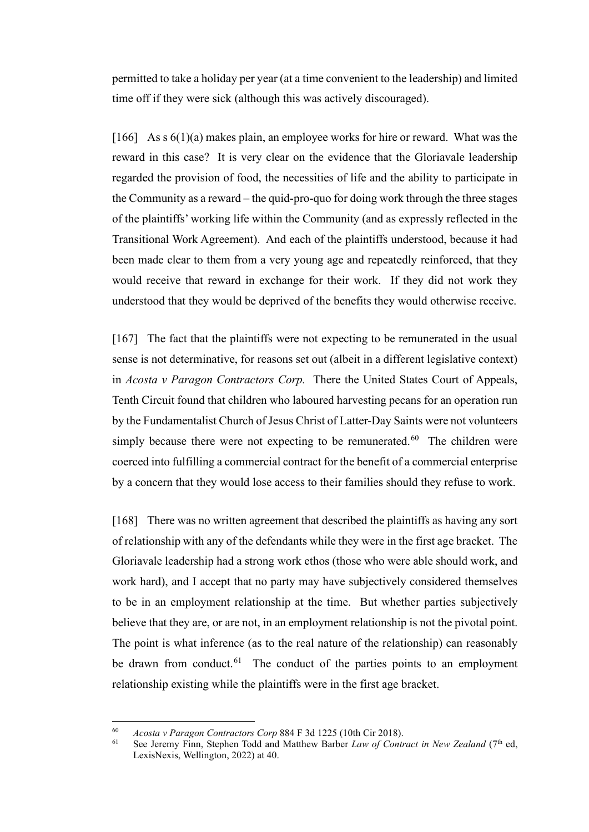permitted to take a holiday per year (at a time convenient to the leadership) and limited time off if they were sick (although this was actively discouraged).

[166] As s  $6(1)(a)$  makes plain, an employee works for hire or reward. What was the reward in this case? It is very clear on the evidence that the Gloriavale leadership regarded the provision of food, the necessities of life and the ability to participate in the Community as a reward – the quid-pro-quo for doing work through the three stages of the plaintiffs' working life within the Community (and as expressly reflected in the Transitional Work Agreement). And each of the plaintiffs understood, because it had been made clear to them from a very young age and repeatedly reinforced, that they would receive that reward in exchange for their work. If they did not work they understood that they would be deprived of the benefits they would otherwise receive.

[167] The fact that the plaintiffs were not expecting to be remunerated in the usual sense is not determinative, for reasons set out (albeit in a different legislative context) in *Acosta v Paragon Contractors Corp.* There the United States Court of Appeals, Tenth Circuit found that children who laboured harvesting pecans for an operation run by the Fundamentalist Church of Jesus Christ of Latter-Day Saints were not volunteers simply because there were not expecting to be remunerated.<sup>[60](#page-47-0)</sup> The children were coerced into fulfilling a commercial contract for the benefit of a commercial enterprise by a concern that they would lose access to their families should they refuse to work.

[168] There was no written agreement that described the plaintiffs as having any sort of relationship with any of the defendants while they were in the first age bracket. The Gloriavale leadership had a strong work ethos (those who were able should work, and work hard), and I accept that no party may have subjectively considered themselves to be in an employment relationship at the time. But whether parties subjectively believe that they are, or are not, in an employment relationship is not the pivotal point. The point is what inference (as to the real nature of the relationship) can reasonably be drawn from conduct.<sup>[61](#page-47-1)</sup> The conduct of the parties points to an employment relationship existing while the plaintiffs were in the first age bracket.

<span id="page-47-1"></span><span id="page-47-0"></span><sup>60</sup> *Acosta v Paragon Contractors Corp* 884 F 3d 1225 (10th Cir 2018).

See Jeremy Finn, Stephen Todd and Matthew Barber *Law of Contract in New Zealand* (7<sup>th</sup> ed, LexisNexis, Wellington, 2022) at 40.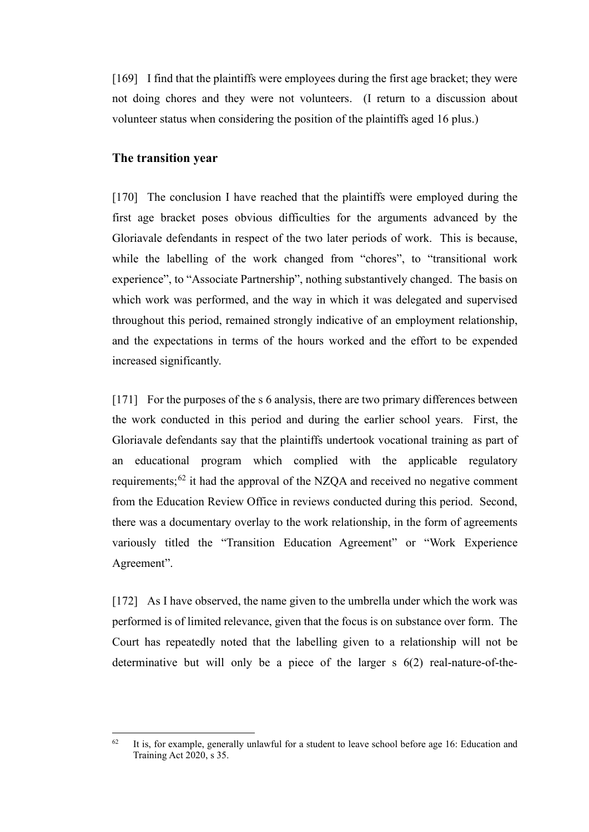[169] I find that the plaintiffs were employees during the first age bracket; they were not doing chores and they were not volunteers. (I return to a discussion about volunteer status when considering the position of the plaintiffs aged 16 plus.)

# **The transition year**

[170] The conclusion I have reached that the plaintiffs were employed during the first age bracket poses obvious difficulties for the arguments advanced by the Gloriavale defendants in respect of the two later periods of work. This is because, while the labelling of the work changed from "chores", to "transitional work experience", to "Associate Partnership", nothing substantively changed. The basis on which work was performed, and the way in which it was delegated and supervised throughout this period, remained strongly indicative of an employment relationship, and the expectations in terms of the hours worked and the effort to be expended increased significantly.

[171] For the purposes of the s 6 analysis, there are two primary differences between the work conducted in this period and during the earlier school years. First, the Gloriavale defendants say that the plaintiffs undertook vocational training as part of an educational program which complied with the applicable regulatory requirements; $62$  it had the approval of the NZQA and received no negative comment from the Education Review Office in reviews conducted during this period. Second, there was a documentary overlay to the work relationship, in the form of agreements variously titled the "Transition Education Agreement" or "Work Experience Agreement".

[172] As I have observed, the name given to the umbrella under which the work was performed is of limited relevance, given that the focus is on substance over form. The Court has repeatedly noted that the labelling given to a relationship will not be determinative but will only be a piece of the larger s 6(2) real-nature-of-the-

<span id="page-48-0"></span> $62$  It is, for example, generally unlawful for a student to leave school before age 16: Education and Training Act 2020, s 35.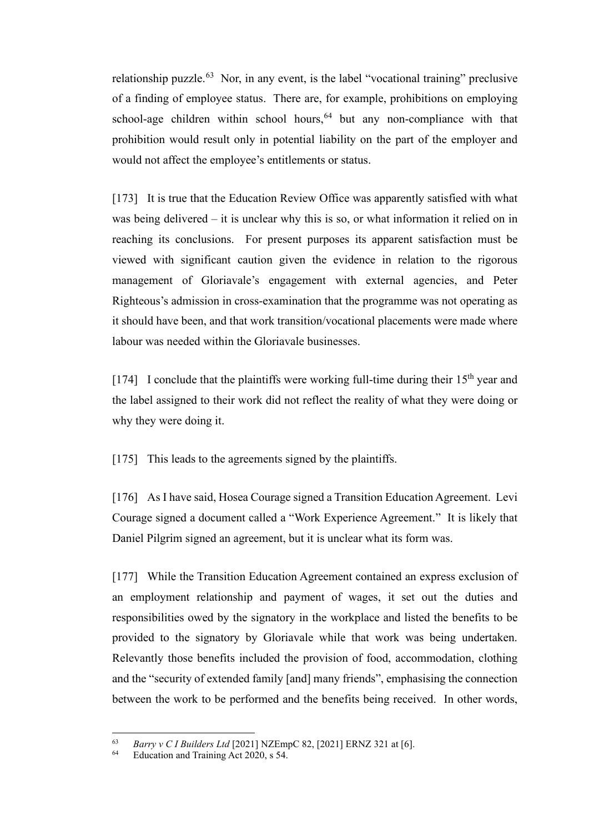relationship puzzle.<sup>[63](#page-49-0)</sup> Nor, in any event, is the label "vocational training" preclusive of a finding of employee status. There are, for example, prohibitions on employing school-age children within school hours,  $64$  but any non-compliance with that prohibition would result only in potential liability on the part of the employer and would not affect the employee's entitlements or status.

[173] It is true that the Education Review Office was apparently satisfied with what was being delivered – it is unclear why this is so, or what information it relied on in reaching its conclusions. For present purposes its apparent satisfaction must be viewed with significant caution given the evidence in relation to the rigorous management of Gloriavale's engagement with external agencies, and Peter Righteous's admission in cross-examination that the programme was not operating as it should have been, and that work transition/vocational placements were made where labour was needed within the Gloriavale businesses.

[174] I conclude that the plaintiffs were working full-time during their  $15<sup>th</sup>$  year and the label assigned to their work did not reflect the reality of what they were doing or why they were doing it.

[175] This leads to the agreements signed by the plaintiffs.

[176] As I have said, Hosea Courage signed a Transition Education Agreement. Levi Courage signed a document called a "Work Experience Agreement."It is likely that Daniel Pilgrim signed an agreement, but it is unclear what its form was.

[177] While the Transition Education Agreement contained an express exclusion of an employment relationship and payment of wages, it set out the duties and responsibilities owed by the signatory in the workplace and listed the benefits to be provided to the signatory by Gloriavale while that work was being undertaken. Relevantly those benefits included the provision of food, accommodation, clothing and the "security of extended family [and] many friends", emphasising the connection between the work to be performed and the benefits being received. In other words,

<span id="page-49-1"></span><span id="page-49-0"></span><sup>63</sup> *Barry v C I Builders Ltd* [2021] NZEmpC 82, [2021] ERNZ 321 at [6].

Education and Training Act 2020, s 54.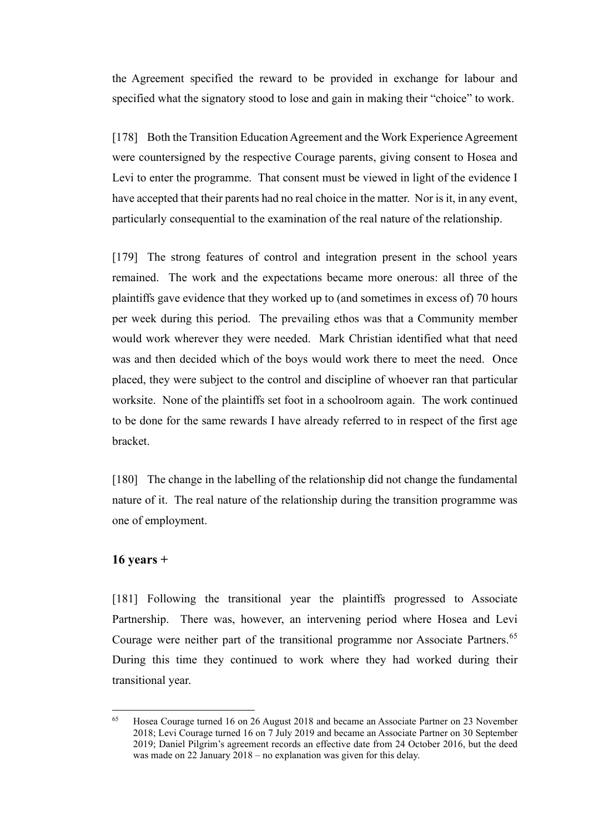the Agreement specified the reward to be provided in exchange for labour and specified what the signatory stood to lose and gain in making their "choice" to work.

[178] Both the Transition Education Agreement and the Work Experience Agreement were countersigned by the respective Courage parents, giving consent to Hosea and Levi to enter the programme. That consent must be viewed in light of the evidence I have accepted that their parents had no real choice in the matter. Nor is it, in any event, particularly consequential to the examination of the real nature of the relationship.

[179] The strong features of control and integration present in the school years remained. The work and the expectations became more onerous: all three of the plaintiffs gave evidence that they worked up to (and sometimes in excess of) 70 hours per week during this period. The prevailing ethos was that a Community member would work wherever they were needed. Mark Christian identified what that need was and then decided which of the boys would work there to meet the need. Once placed, they were subject to the control and discipline of whoever ran that particular worksite. None of the plaintiffs set foot in a schoolroom again.The work continued to be done for the same rewards I have already referred to in respect of the first age bracket.

[180] The change in the labelling of the relationship did not change the fundamental nature of it. The real nature of the relationship during the transition programme was one of employment.

### **16 years +**

[181] Following the transitional year the plaintiffs progressed to Associate Partnership. There was, however, an intervening period where Hosea and Levi Courage were neither part of the transitional programme nor Associate Partners.<sup>[65](#page-50-0)</sup> During this time they continued to work where they had worked during their transitional year.

<span id="page-50-0"></span><sup>65</sup> Hosea Courage turned 16 on 26 August 2018 and became an Associate Partner on 23 November 2018; Levi Courage turned 16 on 7 July 2019 and became an Associate Partner on 30 September 2019; Daniel Pilgrim's agreement records an effective date from 24 October 2016, but the deed was made on 22 January 2018 – no explanation was given for this delay.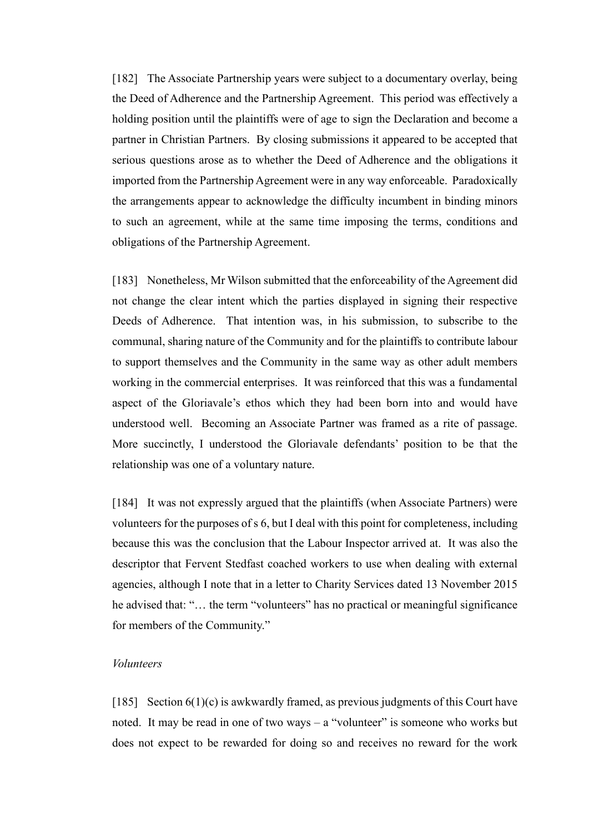[182] The Associate Partnership years were subject to a documentary overlay, being the Deed of Adherence and the Partnership Agreement. This period was effectively a holding position until the plaintiffs were of age to sign the Declaration and become a partner in Christian Partners. By closing submissions it appeared to be accepted that serious questions arose as to whether the Deed of Adherence and the obligations it imported from the Partnership Agreement were in any way enforceable. Paradoxically the arrangements appear to acknowledge the difficulty incumbent in binding minors to such an agreement, while at the same time imposing the terms, conditions and obligations of the Partnership Agreement.

[183] Nonetheless, Mr Wilson submitted that the enforceability of the Agreement did not change the clear intent which the parties displayed in signing their respective Deeds of Adherence. That intention was, in his submission, to subscribe to the communal, sharing nature of the Community and for the plaintiffs to contribute labour to support themselves and the Community in the same way as other adult members working in the commercial enterprises. It was reinforced that this was a fundamental aspect of the Gloriavale's ethos which they had been born into and would have understood well. Becoming an Associate Partner was framed as a rite of passage. More succinctly, I understood the Gloriavale defendants' position to be that the relationship was one of a voluntary nature.

[184] It was not expressly argued that the plaintiffs (when Associate Partners) were volunteers for the purposes of s 6, but I deal with this point for completeness, including because this was the conclusion that the Labour Inspector arrived at. It was also the descriptor that Fervent Stedfast coached workers to use when dealing with external agencies, although I note that in a letter to Charity Services dated 13 November 2015 he advised that: "… the term "volunteers" has no practical or meaningful significance for members of the Community."

#### *Volunteers*

[185] Section 6(1)(c) is awkwardly framed, as previous judgments of this Court have noted. It may be read in one of two ways – a "volunteer" is someone who works but does not expect to be rewarded for doing so and receives no reward for the work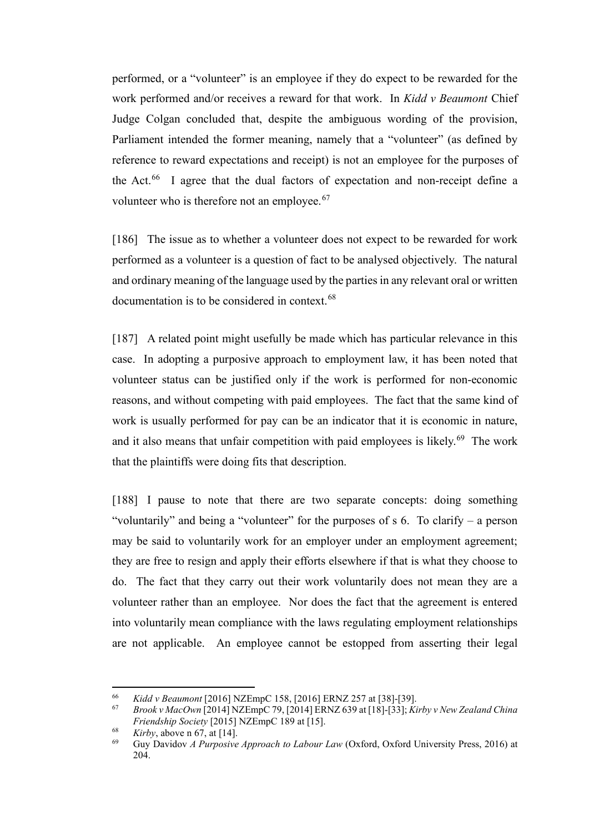performed, or a "volunteer" is an employee if they do expect to be rewarded for the work performed and/or receives a reward for that work. In *Kidd v Beaumont* Chief Judge Colgan concluded that, despite the ambiguous wording of the provision, Parliament intended the former meaning, namely that a "volunteer" (as defined by reference to reward expectations and receipt) is not an employee for the purposes of the Act. $^{66}$  I agree that the dual factors of expectation and non-receipt define a volunteer who is therefore not an employee.<sup>67</sup>

[186] The issue as to whether a volunteer does not expect to be rewarded for work performed as a volunteer is a question of fact to be analysed objectively. The natural and ordinary meaning of the language used by the parties in any relevant oral or written documentation is to be considered in context.<sup>[68](#page-52-2)</sup>

[187] A related point might usefully be made which has particular relevance in this case. In adopting a purposive approach to employment law, it has been noted that volunteer status can be justified only if the work is performed for non-economic reasons, and without competing with paid employees. The fact that the same kind of work is usually performed for pay can be an indicator that it is economic in nature, and it also means that unfair competition with paid employees is likely.<sup>[69](#page-52-3)</sup> The work that the plaintiffs were doing fits that description.

[188] I pause to note that there are two separate concepts: doing something "voluntarily" and being a "volunteer" for the purposes of s 6. To clarify – a person may be said to voluntarily work for an employer under an employment agreement; they are free to resign and apply their efforts elsewhere if that is what they choose to do. The fact that they carry out their work voluntarily does not mean they are a volunteer rather than an employee. Nor does the fact that the agreement is entered into voluntarily mean compliance with the laws regulating employment relationships are not applicable. An employee cannot be estopped from asserting their legal

<span id="page-52-1"></span><span id="page-52-0"></span><sup>66</sup> *Kidd v Beaumont* [2016] NZEmpC 158, [2016] ERNZ 257 at [38]-[39]. 67 *Brook v MacOwn* [2014] NZEmpC 79, [2014] ERNZ 639 at [18]-[33]; *Kirby v New Zealand China Friendship Society* [2015] NZEmpC 189 at [15].

<span id="page-52-3"></span><span id="page-52-2"></span> $\frac{68}{69}$  *Kirby*, above n 67, at [14].

<sup>69</sup> Guy Davidov *A Purposive Approach to Labour Law* (Oxford, Oxford University Press, 2016) at 204.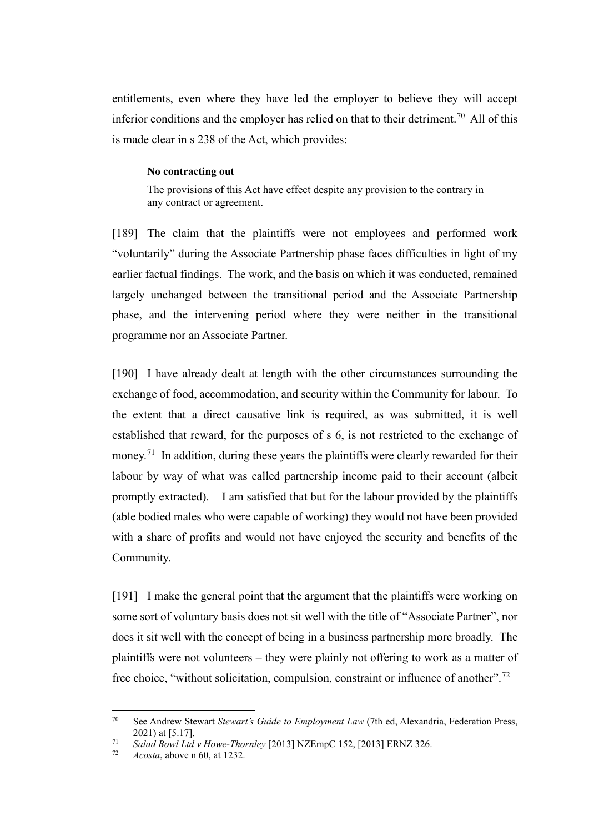entitlements, even where they have led the employer to believe they will accept inferior conditions and the employer has relied on that to their detriment.<sup>[70](#page-53-0)</sup> All of this is made clear in s 238 of the Act, which provides:

#### **No contracting out**

The provisions of this Act have effect despite any provision to the contrary in any contract or agreement.

[189] The claim that the plaintiffs were not employees and performed work "voluntarily" during the Associate Partnership phase faces difficulties in light of my earlier factual findings. The work, and the basis on which it was conducted, remained largely unchanged between the transitional period and the Associate Partnership phase, and the intervening period where they were neither in the transitional programme nor an Associate Partner.

[190] I have already dealt at length with the other circumstances surrounding the exchange of food, accommodation, and security within the Community for labour. To the extent that a direct causative link is required, as was submitted, it is well established that reward, for the purposes of s 6, is not restricted to the exchange of money.<sup>71</sup> In addition, during these years the plaintiffs were clearly rewarded for their labour by way of what was called partnership income paid to their account (albeit promptly extracted). I am satisfied that but for the labour provided by the plaintiffs (able bodied males who were capable of working) they would not have been provided with a share of profits and would not have enjoyed the security and benefits of the Community.

[191] I make the general point that the argument that the plaintiffs were working on some sort of voluntary basis does not sit well with the title of "Associate Partner", nor does it sit well with the concept of being in a business partnership more broadly. The plaintiffs were not volunteers – they were plainly not offering to work as a matter of free choice, "without solicitation, compulsion, constraint or influence of another".<sup>72</sup>

<span id="page-53-0"></span><sup>70</sup> See Andrew Stewart *Stewart's Guide to Employment Law* (7th ed, Alexandria, Federation Press, 2021) at [5.17].

<span id="page-53-2"></span><span id="page-53-1"></span><sup>71</sup> *Salad Bowl Ltd v Howe-Thornley* [2013] NZEmpC 152, [2013] ERNZ 326.

<sup>72</sup> *Acosta*, above n 60, at 1232.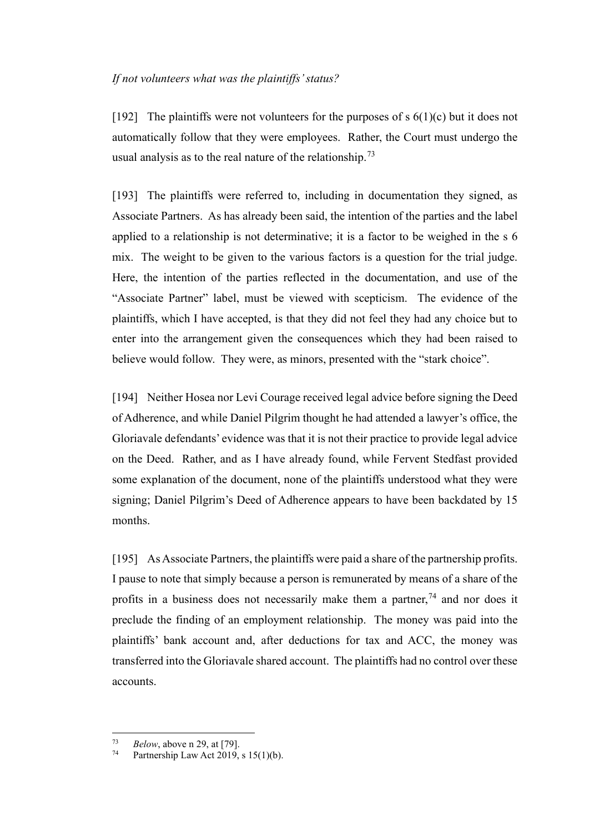#### *If not volunteers what was the plaintiffs' status?*

[192] The plaintiffs were not volunteers for the purposes of  $s$  6(1)(c) but it does not automatically follow that they were employees. Rather, the Court must undergo the usual analysis as to the real nature of the relationship.<sup>[73](#page-54-0)</sup>

[193] The plaintiffs were referred to, including in documentation they signed, as Associate Partners. As has already been said, the intention of the parties and the label applied to a relationship is not determinative; it is a factor to be weighed in the s 6 mix. The weight to be given to the various factors is a question for the trial judge. Here, the intention of the parties reflected in the documentation, and use of the "Associate Partner" label, must be viewed with scepticism. The evidence of the plaintiffs, which I have accepted, is that they did not feel they had any choice but to enter into the arrangement given the consequences which they had been raised to believe would follow. They were, as minors, presented with the "stark choice".

[194] Neither Hosea nor Levi Courage received legal advice before signing the Deed of Adherence, and while Daniel Pilgrim thought he had attended a lawyer's office, the Gloriavale defendants' evidence was that it is not their practice to provide legal advice on the Deed.Rather, and as I have already found, while Fervent Stedfast provided some explanation of the document, none of the plaintiffs understood what they were signing; Daniel Pilgrim's Deed of Adherence appears to have been backdated by 15 months.

[195] As Associate Partners, the plaintiffs were paid a share of the partnership profits. I pause to note that simply because a person is remunerated by means of a share of the profits in a business does not necessarily make them a partner,  $74$  and nor does it preclude the finding of an employment relationship. The money was paid into the plaintiffs' bank account and, after deductions for tax and ACC, the money was transferred into the Gloriavale shared account. The plaintiffs had no control over these accounts.

<span id="page-54-1"></span><span id="page-54-0"></span> $Below$ , above n 29, at [79].<br>  $Below$ , above n 29, at [79].

Partnership Law Act  $2019$ , s  $15(1)(b)$ .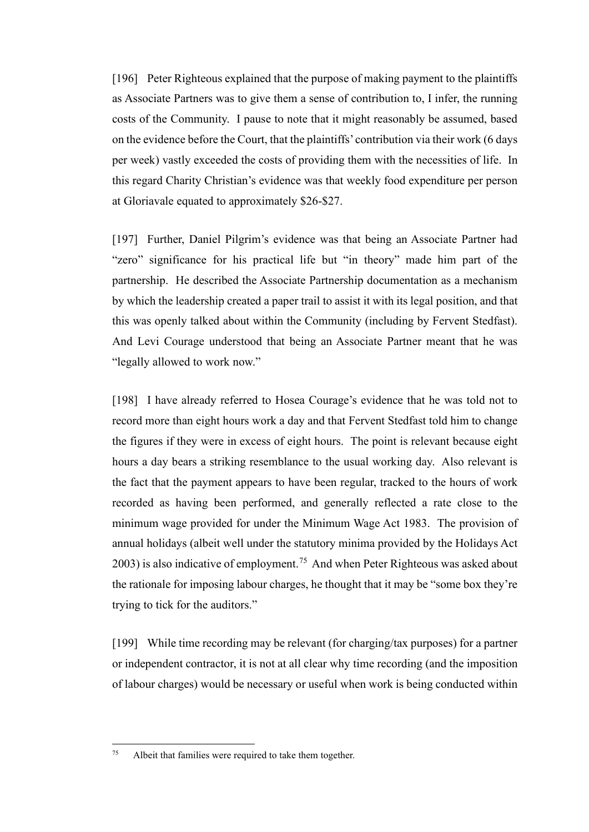[196] Peter Righteous explained that the purpose of making payment to the plaintiffs as Associate Partners was to give them a sense of contribution to, I infer, the running costs of the Community. I pause to note that it might reasonably be assumed, based on the evidence before the Court, that the plaintiffs' contribution via their work (6 days per week) vastly exceeded the costs of providing them with the necessities of life. In this regard Charity Christian's evidence was that weekly food expenditure per person at Gloriavale equated to approximately \$26-\$27.

[197] Further, Daniel Pilgrim's evidence was that being an Associate Partner had "zero" significance for his practical life but "in theory" made him part of the partnership. He described the Associate Partnership documentation as a mechanism by which the leadership created a paper trail to assist it with its legal position, and that this was openly talked about within the Community (including by Fervent Stedfast). And Levi Courage understood that being an Associate Partner meant that he was "legally allowed to work now."

[198] I have already referred to Hosea Courage's evidence that he was told not to record more than eight hours work a day and that Fervent Stedfast told him to change the figures if they were in excess of eight hours. The point is relevant because eight hours a day bears a striking resemblance to the usual working day. Also relevant is the fact that the payment appears to have been regular, tracked to the hours of work recorded as having been performed, and generally reflected a rate close to the minimum wage provided for under the Minimum Wage Act 1983. The provision of annual holidays (albeit well under the statutory minima provided by the Holidays Act  $2003$ ) is also indicative of employment.<sup>75</sup> And when Peter Righteous was asked about the rationale for imposing labour charges, he thought that it may be "some box they're trying to tick for the auditors."

[199] While time recording may be relevant (for charging/tax purposes) for a partner or independent contractor, it is not at all clear why time recording (and the imposition of labour charges) would be necessary or useful when work is being conducted within

<span id="page-55-0"></span><sup>75</sup> Albeit that families were required to take them together.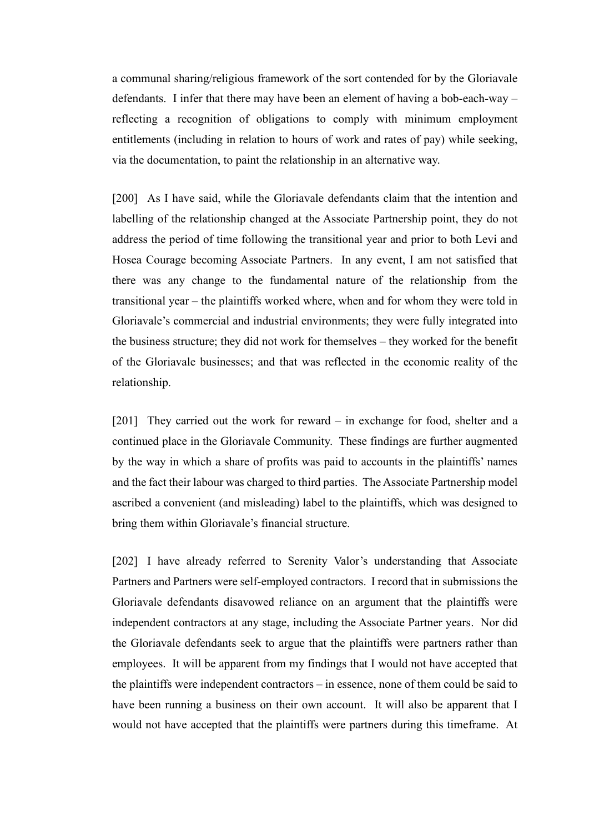a communal sharing/religious framework of the sort contended for by the Gloriavale defendants. I infer that there may have been an element of having a bob-each-way – reflecting a recognition of obligations to comply with minimum employment entitlements (including in relation to hours of work and rates of pay) while seeking, via the documentation, to paint the relationship in an alternative way.

[200] As I have said, while the Gloriavale defendants claim that the intention and labelling of the relationship changed at the Associate Partnership point, they do not address the period of time following the transitional year and prior to both Levi and Hosea Courage becoming Associate Partners. In any event, I am not satisfied that there was any change to the fundamental nature of the relationship from the transitional year – the plaintiffs worked where, when and for whom they were told in Gloriavale's commercial and industrial environments; they were fully integrated into the business structure; they did not work for themselves – they worked for the benefit of the Gloriavale businesses; and that was reflected in the economic reality of the relationship.

[201] They carried out the work for reward – in exchange for food, shelter and a continued place in the Gloriavale Community. These findings are further augmented by the way in which a share of profits was paid to accounts in the plaintiffs' names and the fact their labour was charged to third parties. The Associate Partnership model ascribed a convenient (and misleading) label to the plaintiffs, which was designed to bring them within Gloriavale's financial structure.

[202] I have already referred to Serenity Valor's understanding that Associate Partners and Partners were self-employed contractors. I record that in submissions the Gloriavale defendants disavowed reliance on an argument that the plaintiffs were independent contractors at any stage, including the Associate Partner years. Nor did the Gloriavale defendants seek to argue that the plaintiffs were partners rather than employees. It will be apparent from my findings that I would not have accepted that the plaintiffs were independent contractors – in essence, none of them could be said to have been running a business on their own account. It will also be apparent that I would not have accepted that the plaintiffs were partners during this timeframe. At